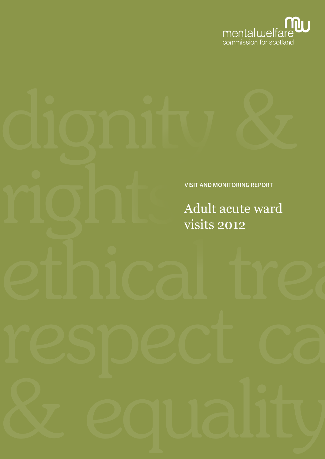

### VISIT AND MONITORING REPORT

Adult acute ward visits 2012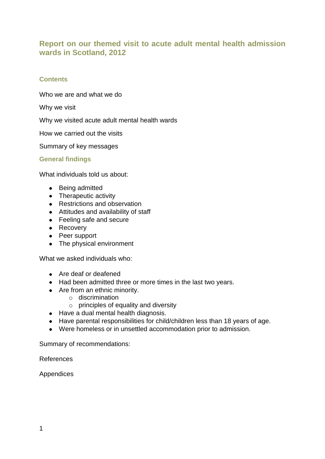### **Report on our themed visit to acute adult mental health admission wards in Scotland, 2012**

### **Contents**

Who we are and what we do

Why we visit

Why we visited acute adult mental health wards

How we carried out the visits

Summary of key messages

**General findings**

What individuals told us about:

- Being admitted
- Therapeutic activity
- Restrictions and observation
- Attitudes and availability of staff
- Feeling safe and secure
- Recovery
- Peer support
- The physical environment

What we asked individuals who:

- Are deaf or deafened
- Had been admitted three or more times in the last two years.
- Are from an ethnic minority.
	- o discrimination
	- $\circ$  principles of equality and diversity
- Have a dual mental health diagnosis.
- Have parental responsibilities for child/children less than 18 years of age.
- Were homeless or in unsettled accommodation prior to admission.

Summary of recommendations:

References

Appendices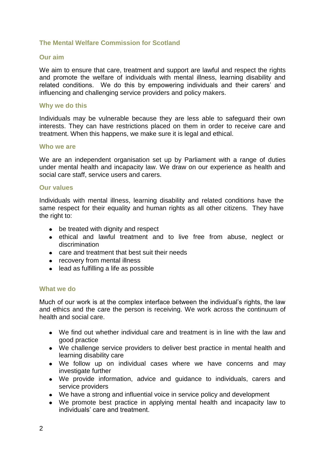### **The Mental Welfare Commission for Scotland**

### **Our aim**

We aim to ensure that care, treatment and support are lawful and respect the rights and promote the welfare of individuals with mental illness, learning disability and related conditions. We do this by empowering individuals and their carers" and influencing and challenging service providers and policy makers.

### **Why we do this**

Individuals may be vulnerable because they are less able to safeguard their own interests. They can have restrictions placed on them in order to receive care and treatment. When this happens, we make sure it is legal and ethical.

#### **Who we are**

We are an independent organisation set up by Parliament with a range of duties under mental health and incapacity law. We draw on our experience as health and social care staff, service users and carers.

### **Our values**

Individuals with mental illness, learning disability and related conditions have the same respect for their equality and human rights as all other citizens. They have the right to:

- be treated with dignity and respect
- ethical and lawful treatment and to live free from abuse, neglect or discrimination
- care and treatment that best suit their needs
- recovery from mental illness
- lead as fulfilling a life as possible

### **What we do**

Much of our work is at the complex interface between the individual"s rights, the law and ethics and the care the person is receiving. We work across the continuum of health and social care.

- We find out whether individual care and treatment is in line with the law and good practice
- We challenge service providers to deliver best practice in mental health and learning disability care
- We follow up on individual cases where we have concerns and may investigate further
- We provide information, advice and guidance to individuals, carers and service providers
- We have a strong and influential voice in service policy and development
- We promote best practice in applying mental health and incapacity law to individuals" care and treatment.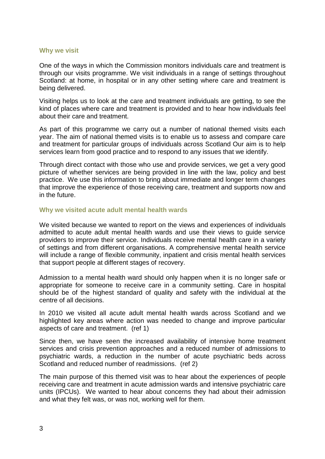### **Why we visit**

One of the ways in which the Commission monitors individuals care and treatment is through our visits programme. We visit individuals in a range of settings throughout Scotland: at home, in hospital or in any other setting where care and treatment is being delivered.

Visiting helps us to look at the care and treatment individuals are getting, to see the kind of places where care and treatment is provided and to hear how individuals feel about their care and treatment.

As part of this programme we carry out a number of national themed visits each year. The aim of national themed visits is to enable us to assess and compare care and treatment for particular groups of individuals across Scotland Our aim is to help services learn from good practice and to respond to any issues that we identify.

Through direct contact with those who use and provide services, we get a very good picture of whether services are being provided in line with the law, policy and best practice. We use this information to bring about immediate and longer term changes that improve the experience of those receiving care, treatment and supports now and in the future.

### **Why we visited acute adult mental health wards**

We visited because we wanted to report on the views and experiences of individuals admitted to acute adult mental health wards and use their views to guide service providers to improve their service. Individuals receive mental health care in a variety of settings and from different organisations. A comprehensive mental health service will include a range of flexible community, inpatient and crisis mental health services that support people at different stages of recovery.

Admission to a mental health ward should only happen when it is no longer safe or appropriate for someone to receive care in a community setting. Care in hospital should be of the highest standard of quality and safety with the individual at the centre of all decisions.

In 2010 we visited all acute adult mental health wards across Scotland and we highlighted key areas where action was needed to change and improve particular aspects of care and treatment. (ref 1)

Since then, we have seen the increased availability of intensive home treatment services and crisis prevention approaches and a reduced number of admissions to psychiatric wards, a reduction in the number of acute psychiatric beds across Scotland and reduced number of readmissions. (ref 2)

The main purpose of this themed visit was to hear about the experiences of people receiving care and treatment in acute admission wards and intensive psychiatric care units (IPCUs). We wanted to hear about concerns they had about their admission and what they felt was, or was not, working well for them.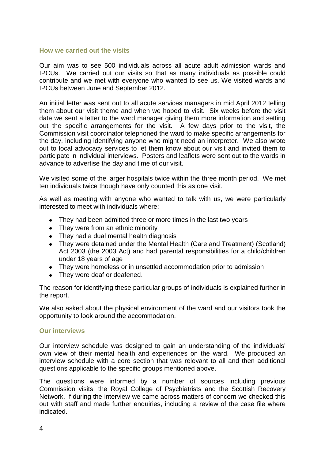#### **How we carried out the visits**

Our aim was to see 500 individuals across all acute adult admission wards and IPCUs. We carried out our visits so that as many individuals as possible could contribute and we met with everyone who wanted to see us. We visited wards and IPCUs between June and September 2012.

An initial letter was sent out to all acute services managers in mid April 2012 telling them about our visit theme and when we hoped to visit. Six weeks before the visit date we sent a letter to the ward manager giving them more information and setting out the specific arrangements for the visit. A few days prior to the visit, the Commission visit coordinator telephoned the ward to make specific arrangements for the day, including identifying anyone who might need an interpreter. We also wrote out to local advocacy services to let them know about our visit and invited them to participate in individual interviews. Posters and leaflets were sent out to the wards in advance to advertise the day and time of our visit.

We visited some of the larger hospitals twice within the three month period. We met ten individuals twice though have only counted this as one visit.

As well as meeting with anyone who wanted to talk with us, we were particularly interested to meet with individuals where:

- They had been admitted three or more times in the last two years
- They were from an ethnic minority
- They had a dual mental health diagnosis
- They were detained under the Mental Health (Care and Treatment) (Scotland) Act 2003 (the 2003 Act) and had parental responsibilities for a child/children under 18 years of age
- They were homeless or in unsettled accommodation prior to admission
- They were deaf or deafened.

The reason for identifying these particular groups of individuals is explained further in the report.

We also asked about the physical environment of the ward and our visitors took the opportunity to look around the accommodation.

### **Our interviews**

Our interview schedule was designed to gain an understanding of the individuals" own view of their mental health and experiences on the ward. We produced an interview schedule with a core section that was relevant to all and then additional questions applicable to the specific groups mentioned above.

The questions were informed by a number of sources including previous Commission visits, the Royal College of Psychiatrists and the Scottish Recovery Network. If during the interview we came across matters of concern we checked this out with staff and made further enquiries, including a review of the case file where indicated.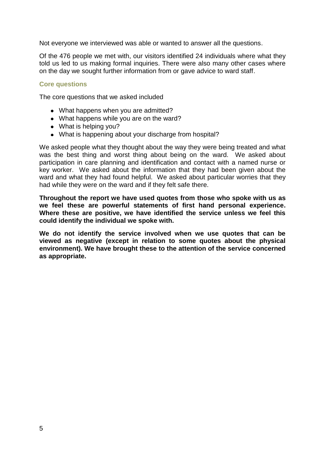Not everyone we interviewed was able or wanted to answer all the questions.

Of the 476 people we met with, our visitors identified 24 individuals where what they told us led to us making formal inquiries. There were also many other cases where on the day we sought further information from or gave advice to ward staff.

### **Core questions**

The core questions that we asked included

- What happens when you are admitted?
- What happens while you are on the ward?
- What is helping you?
- What is happening about your discharge from hospital?

We asked people what they thought about the way they were being treated and what was the best thing and worst thing about being on the ward. We asked about participation in care planning and identification and contact with a named nurse or key worker. We asked about the information that they had been given about the ward and what they had found helpful. We asked about particular worries that they had while they were on the ward and if they felt safe there.

**Throughout the report we have used quotes from those who spoke with us as we feel these are powerful statements of first hand personal experience. Where these are positive, we have identified the service unless we feel this could identify the individual we spoke with.**

**We do not identify the service involved when we use quotes that can be viewed as negative (except in relation to some quotes about the physical environment). We have brought these to the attention of the service concerned as appropriate.**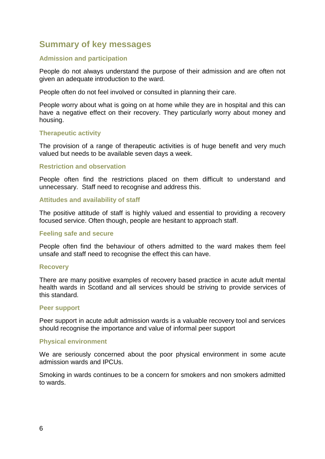# **Summary of key messages**

### **Admission and participation**

People do not always understand the purpose of their admission and are often not given an adequate introduction to the ward.

People often do not feel involved or consulted in planning their care.

People worry about what is going on at home while they are in hospital and this can have a negative effect on their recovery. They particularly worry about money and housing.

### **Therapeutic activity**

The provision of a range of therapeutic activities is of huge benefit and very much valued but needs to be available seven days a week.

### **Restriction and observation**

People often find the restrictions placed on them difficult to understand and unnecessary. Staff need to recognise and address this.

### **Attitudes and availability of staff**

The positive attitude of staff is highly valued and essential to providing a recovery focused service. Often though, people are hesitant to approach staff.

### **Feeling safe and secure**

People often find the behaviour of others admitted to the ward makes them feel unsafe and staff need to recognise the effect this can have.

### **Recovery**

There are many positive examples of recovery based practice in acute adult mental health wards in Scotland and all services should be striving to provide services of this standard.

### **Peer support**

Peer support in acute adult admission wards is a valuable recovery tool and services should recognise the importance and value of informal peer support

### **Physical environment**

We are seriously concerned about the poor physical environment in some acute admission wards and IPCUs.

Smoking in wards continues to be a concern for smokers and non smokers admitted to wards.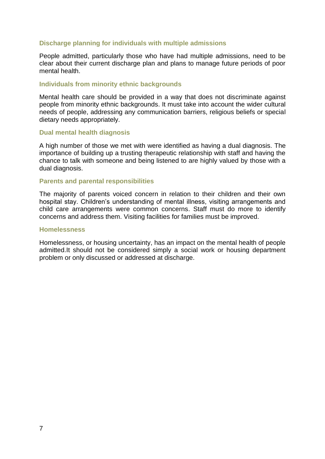### **Discharge planning for individuals with multiple admissions**

People admitted, particularly those who have had multiple admissions, need to be clear about their current discharge plan and plans to manage future periods of poor mental health.

### **Individuals from minority ethnic backgrounds**

Mental health care should be provided in a way that does not discriminate against people from minority ethnic backgrounds. It must take into account the wider cultural needs of people, addressing any communication barriers, religious beliefs or special dietary needs appropriately.

### **Dual mental health diagnosis**

A high number of those we met with were identified as having a dual diagnosis. The importance of building up a trusting therapeutic relationship with staff and having the chance to talk with someone and being listened to are highly valued by those with a dual diagnosis.

### **Parents and parental responsibilities**

The majority of parents voiced concern in relation to their children and their own hospital stay. Children"s understanding of mental illness, visiting arrangements and child care arrangements were common concerns. Staff must do more to identify concerns and address them. Visiting facilities for families must be improved.

#### **Homelessness**

Homelessness, or housing uncertainty, has an impact on the mental health of people admitted.It should not be considered simply a social work or housing department problem or only discussed or addressed at discharge.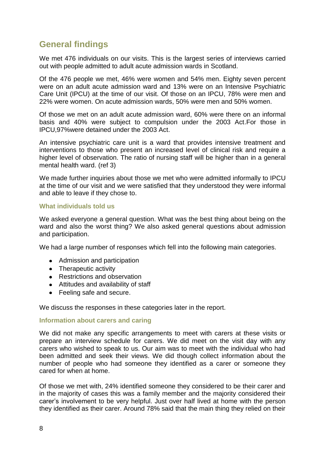# **General findings**

We met 476 individuals on our visits. This is the largest series of interviews carried out with people admitted to adult acute admission wards in Scotland.

Of the 476 people we met, 46% were women and 54% men. Eighty seven percent were on an adult acute admission ward and 13% were on an Intensive Psychiatric Care Unit (IPCU) at the time of our visit. Of those on an IPCU, 78% were men and 22% were women. On acute admission wards, 50% were men and 50% women.

Of those we met on an adult acute admission ward, 60% were there on an informal basis and 40% were subject to compulsion under the 2003 Act.For those in IPCU,97%were detained under the 2003 Act.

An intensive psychiatric care unit is a ward that provides intensive treatment and interventions to those who present an increased level of clinical risk and require a higher level of observation. The ratio of nursing staff will be higher than in a general mental health ward. (ref 3)

We made further inquiries about those we met who were admitted informally to IPCU at the time of our visit and we were satisfied that they understood they were informal and able to leave if they chose to.

### **What individuals told us**

We asked everyone a general question. What was the best thing about being on the ward and also the worst thing? We also asked general questions about admission and participation.

We had a large number of responses which fell into the following main categories.

- Admission and participation
- Therapeutic activity
- Restrictions and observation
- Attitudes and availability of staff
- Feeling safe and secure.

We discuss the responses in these categories later in the report.

### **Information about carers and caring**

We did not make any specific arrangements to meet with carers at these visits or prepare an interview schedule for carers. We did meet on the visit day with any carers who wished to speak to us. Our aim was to meet with the individual who had been admitted and seek their views. We did though collect information about the number of people who had someone they identified as a carer or someone they cared for when at home.

Of those we met with, 24% identified someone they considered to be their carer and in the majority of cases this was a family member and the majority considered their carer"s involvement to be very helpful. Just over half lived at home with the person they identified as their carer. Around 78% said that the main thing they relied on their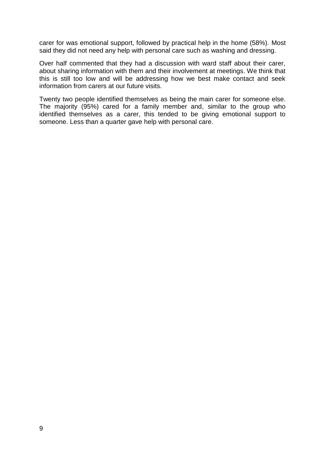carer for was emotional support, followed by practical help in the home (58%). Most said they did not need any help with personal care such as washing and dressing.

Over half commented that they had a discussion with ward staff about their carer, about sharing information with them and their involvement at meetings. We think that this is still too low and will be addressing how we best make contact and seek information from carers at our future visits.

Twenty two people identified themselves as being the main carer for someone else. The majority (95%) cared for a family member and, similar to the group who identified themselves as a carer, this tended to be giving emotional support to someone. Less than a quarter gave help with personal care.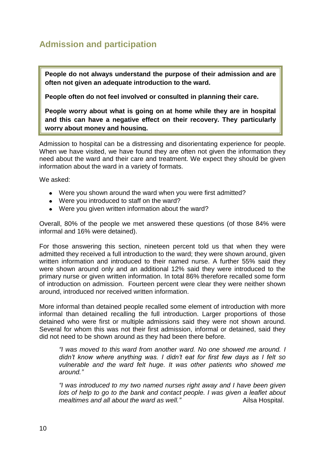# **Admission and participation**

**People do not always understand the purpose of their admission and are often not given an adequate introduction to the ward.** 

**People often do not feel involved or consulted in planning their care.**

**People worry about what is going on at home while they are in hospital and this can have a negative effect on their recovery. They particularly worry about money and housing.**

Admission to hospital can be a distressing and disorientating experience for people. When we have visited, we have found they are often not given the information they need about the ward and their care and treatment. We expect they should be given information about the ward in a variety of formats.

We asked:

- Were you shown around the ward when you were first admitted?
- Were you introduced to staff on the ward?
- Were you given written information about the ward?

Overall, 80% of the people we met answered these questions (of those 84% were informal and 16% were detained).

For those answering this section, nineteen percent told us that when they were admitted they received a full introduction to the ward; they were shown around, given written information and introduced to their named nurse. A further 55% said they were shown around only and an additional 12% said they were introduced to the primary nurse or given written information. In total 86% therefore recalled some form of introduction on admission. Fourteen percent were clear they were neither shown around, introduced nor received written information.

More informal than detained people recalled some element of introduction with more informal than detained recalling the full introduction. Larger proportions of those detained who were first or multiple admissions said they were not shown around. Several for whom this was not their first admission, informal or detained, said they did not need to be shown around as they had been there before.

*"I was moved to this ward from another ward. No one showed me around. I didn"t know where anything was. I didn"t eat for first few days as I felt so vulnerable and the ward felt huge. It was other patients who showed me around."*

*"I was introduced to my two named nurses right away and I have been given lots of help to go to the bank and contact people. I was given a leaflet about mealtimes and all about the ward as well.*" Ailsa Hospital.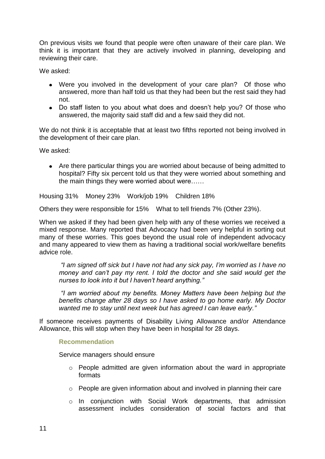On previous visits we found that people were often unaware of their care plan. We think it is important that they are actively involved in planning, developing and reviewing their care.

We asked:

- Were you involved in the development of your care plan? Of those who answered, more than half told us that they had been but the rest said they had not.
- Do staff listen to you about what does and doesn't help you? Of those who answered, the majority said staff did and a few said they did not.

We do not think it is acceptable that at least two fifths reported not being involved in the development of their care plan.

We asked:

Are there particular things you are worried about because of being admitted to hospital? Fifty six percent told us that they were worried about something and the main things they were worried about were……

Housing 31% Money 23% Work/job 19% Children 18%

Others they were responsible for 15% What to tell friends 7% (Other 23%).

When we asked if they had been given help with any of these worries we received a mixed response. Many reported that Advocacy had been very helpful in sorting out many of these worries. This goes beyond the usual role of independent advocacy and many appeared to view them as having a traditional social work/welfare benefits advice role.

*"I am signed off sick but I have not had any sick pay, I"m worried as I have no money and can"t pay my rent. I told the doctor and she said would get the nurses to look into it but I haven"t heard anything."*

*"I am worried about my benefits. Money Matters have been helping but the benefits change after 28 days so I have asked to go home early. My Doctor wanted me to stay until next week but has agreed I can leave early."*

If someone receives payments of Disability Living Allowance and/or Attendance Allowance, this will stop when they have been in hospital for 28 days.

### **Recommendation**

Service managers should ensure

- o People admitted are given information about the ward in appropriate formats
- o People are given information about and involved in planning their care
- o In conjunction with Social Work departments, that admission assessment includes consideration of social factors and that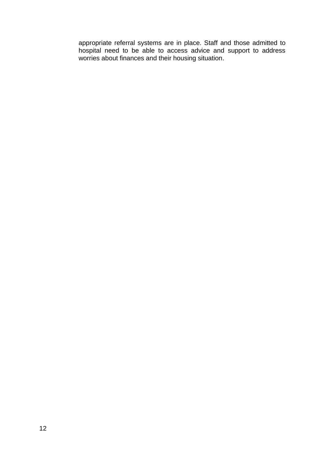appropriate referral systems are in place. Staff and those admitted to hospital need to be able to access advice and support to address worries about finances and their housing situation.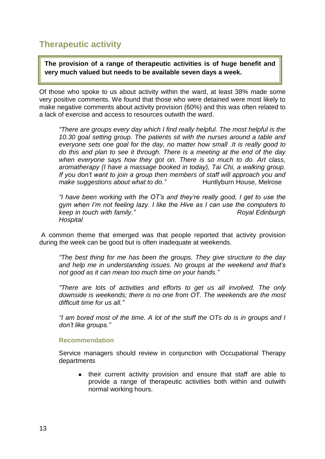# **Therapeutic activity**

**The provision of a range of therapeutic activities is of huge benefit and very much valued but needs to be available seven days a week.**

Of those who spoke to us about activity within the ward, at least 38% made some very positive comments. We found that those who were detained were most likely to make negative comments about activity provision (60%) and this was often related to a lack of exercise and access to resources outwith the ward.

*"There are groups every day which I find really helpful. The most helpful is the 10.30 goal setting group. The patients sit with the nurses around a table and everyone sets one goal for the day, no matter how small .It is really good to do this and plan to see it through. There is a meeting at the end of the day when everyone says how they got on. There is so much to do. Art class, aromatherapy (I have a massage booked in today), Tai Chi, a walking group. If you don"t want to join a group then members of staff will approach you and make suggestions about what to do.*" Huntlyburn House, Melrose

*"I have been working with the OT"s and they"re really good, I get to use the gym when I"m not feeling lazy. I like the Hive as I can use the computers to keep in touch with family.*" And the same of the Royal Edinburgh *Royal Edinburgh Royal Edinburgh Hospital*

A common theme that emerged was that people reported that activity provision during the week can be good but is often inadequate at weekends.

*"The best thing for me has been the groups. They give structure to the day and help me in understanding issues. No groups at the weekend and that"s not good as it can mean too much time on your hands."*

*"There are lots of activities and efforts to get us all involved. The only downside is weekends; there is no one from OT. The weekends are the most difficult time for us all."*

*"I am bored most of the time. A lot of the stuff the OTs do is in groups and I don"t like groups."*

### **Recommendation**

Service managers should review in conjunction with Occupational Therapy departments

their current activity provision and ensure that staff are able to provide a range of therapeutic activities both within and outwith normal working hours.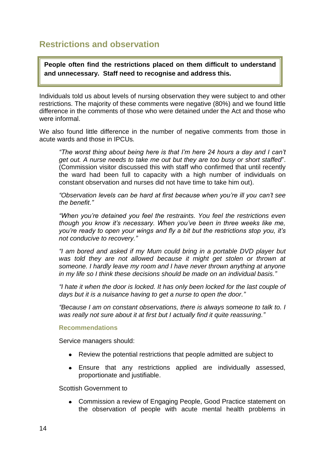## **Restrictions and observation**

**People often find the restrictions placed on them difficult to understand and unnecessary. Staff need to recognise and address this.**

Individuals told us about levels of nursing observation they were subject to and other restrictions. The majority of these comments were negative (80%) and we found little difference in the comments of those who were detained under the Act and those who were informal.

We also found little difference in the number of negative comments from those in acute wards and those in IPCUs*.*

*"The worst thing about being here is that I"m here 24 hours a day and I can"t get out. A nurse needs to take me out but they are too busy or short staffed*". (Commission visitor discussed this with staff who confirmed that until recently the ward had been full to capacity with a high number of individuals on constant observation and nurses did not have time to take him out).

*"Observation levels can be hard at first because when you"re ill you can"t see the benefit."*

*"When you"re detained you feel the restraints. You feel the restrictions even though you know it"s necessary. When you"ve been in three weeks like me, you"re ready to open your wings and fly a bit but the restrictions stop you, it"s not conducive to recovery."*

*"I am bored and asked if my Mum could bring in a portable DVD player but was told they are not allowed because it might get stolen or thrown at someone. I hardly leave my room and I have never thrown anything at anyone in my life so I think these decisions should be made on an individual basis."*

*"I hate it when the door is locked. It has only been locked for the last couple of days but it is a nuisance having to get a nurse to open the door."*

*"Because I am on constant observations, there is always someone to talk to. I was really not sure about it at first but I actually find it quite reassuring."*

### **Recommendations**

Service managers should:

- Review the potential restrictions that people admitted are subject to
- Ensure that any restrictions applied are individually assessed, proportionate and justifiable.

Scottish Government to

Commission a review of Engaging People, Good Practice statement on the observation of people with acute mental health problems in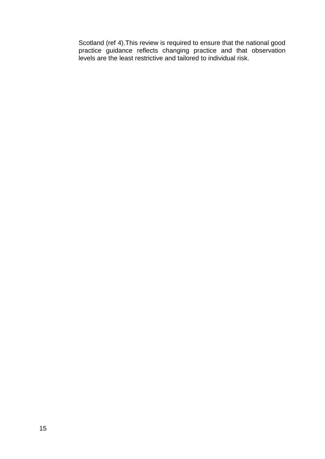Scotland (ref 4).This review is required to ensure that the national good practice guidance reflects changing practice and that observation levels are the least restrictive and tailored to individual risk.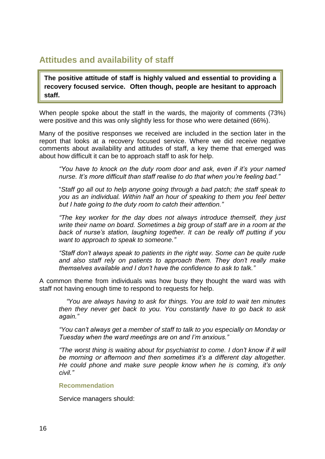# **Attitudes and availability of staff**

**The positive attitude of staff is highly valued and essential to providing a recovery focused service. Often though, people are hesitant to approach staff.**

When people spoke about the staff in the wards, the majority of comments (73%) were positive and this was only slightly less for those who were detained (66%).

Many of the positive responses we received are included in the section later in the report that looks at a recovery focused service. Where we did receive negative comments about availability and attitudes of staff, a key theme that emerged was about how difficult it can be to approach staff to ask for help.

*"You have to knock on the duty room door and ask, even if it"s your named nurse. It"s more difficult than staff realise to do that when you"re feeling bad."*

"*Staff go all out to help anyone going through a bad patch; the staff speak to you as an individual. Within half an hour of speaking to them you feel better but I hate going to the duty room to catch their attention."*

*"The key worker for the day does not always introduce themself, they just write their name on board. Sometimes a big group of staff are in a room at the back of nurse"s station, laughing together. It can be really off putting if you want to approach to speak to someone."*

*"Staff don"t always speak to patients in the right way. Some can be quite rude and also staff rely on patients to approach them. They don"t really make themselves available and I don"t have the confidence to ask to talk."*

A common theme from individuals was how busy they thought the ward was with staff not having enough time to respond to requests for help.

 *"You are always having to ask for things. You are told to wait ten minutes then they never get back to you. You constantly have to go back to ask again."*

*"You can"t always get a member of staff to talk to you especially on Monday or Tuesday when the ward meetings are on and I"m anxious."*

*"The worst thing is waiting about for psychiatrist to come. I don"t know if it will be morning or afternoon and then sometimes it"s a different day altogether. He could phone and make sure people know when he is coming, it"s only civil."*

### **Recommendation**

Service managers should: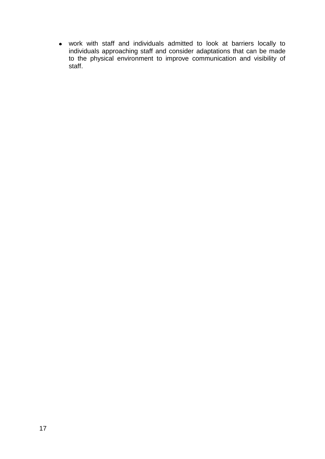work with staff and individuals admitted to look at barriers locally to individuals approaching staff and consider adaptations that can be made to the physical environment to improve communication and visibility of staff.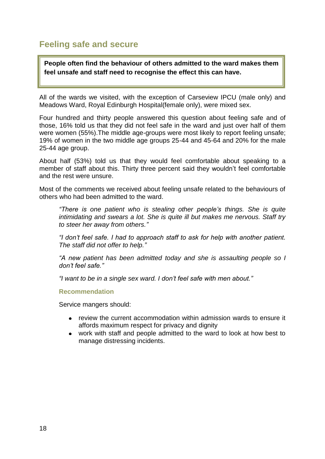# **Feeling safe and secure**

**People often find the behaviour of others admitted to the ward makes them feel unsafe and staff need to recognise the effect this can have.**

All of the wards we visited, with the exception of Carseview IPCU (male only) and Meadows Ward, Royal Edinburgh Hospital(female only), were mixed sex.

Four hundred and thirty people answered this question about feeling safe and of those, 16% told us that they did not feel safe in the ward and just over half of them were women (55%).The middle age-groups were most likely to report feeling unsafe; 19% of women in the two middle age groups 25-44 and 45-64 and 20% for the male 25-44 age group.

About half (53%) told us that they would feel comfortable about speaking to a member of staff about this. Thirty three percent said they wouldn"t feel comfortable and the rest were unsure.

Most of the comments we received about feeling unsafe related to the behaviours of others who had been admitted to the ward.

*"There is one patient who is stealing other people"s things. She is quite intimidating and swears a lot. She is quite ill but makes me nervous. Staff try to steer her away from others."*

*"I don"t feel safe. I had to approach staff to ask for help with another patient. The staff did not offer to help."*

*"A new patient has been admitted today and she is assaulting people so I don"t feel safe."*

*"I want to be in a single sex ward. I don"t feel safe with men about."*

**Recommendation**

Service mangers should:

- review the current accommodation within admission wards to ensure it affords maximum respect for privacy and dignity
- work with staff and people admitted to the ward to look at how best to manage distressing incidents.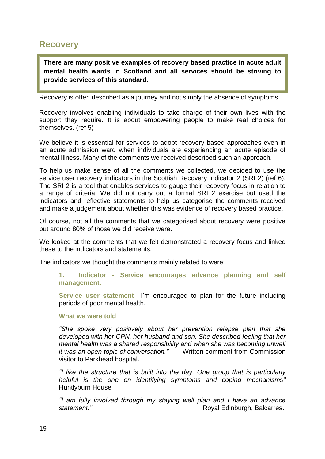### **Recovery**

**There are many positive examples of recovery based practice in acute adult mental health wards in Scotland and all services should be striving to provide services of this standard.** 

Recovery is often described as a journey and not simply the absence of symptoms.

Recovery involves enabling individuals to take charge of their own lives with the support they require. It is about empowering people to make real choices for themselves. (ref 5)

We believe it is essential for services to adopt recovery based approaches even in an acute admission ward when individuals are experiencing an acute episode of mental Illness. Many of the comments we received described such an approach.

To help us make sense of all the comments we collected, we decided to use the service user recovery indicators in the Scottish Recovery Indicator 2 (SRI 2) (ref 6). The SRI 2 is a tool that enables services to gauge their recovery focus in relation to a range of criteria. We did not carry out a formal SRI 2 exercise but used the indicators and reflective statements to help us categorise the comments received and make a judgement about whether this was evidence of recovery based practice.

Of course, not all the comments that we categorised about recovery were positive but around 80% of those we did receive were.

We looked at the comments that we felt demonstrated a recovery focus and linked these to the indicators and statements.

The indicators we thought the comments mainly related to were:

**1. Indicator - Service encourages advance planning and self management.**

Service user statement I'm encouraged to plan for the future including periods of poor mental health.

### **What we were told**

*"She spoke very positively about her prevention relapse plan that she developed with her CPN, her husband and son. She described feeling that her mental health was a shared responsibility and when she was becoming unwell it was an open topic of conversation."* Written comment from Commission visitor to Parkhead hospital.

*"I like the structure that is built into the day. One group that is particularly helpful is the one on identifying symptoms and coping mechanisms"* Huntlyburn House

*"I am fully involved through my staying well plan and I have an advance*  **statement." Royal Edinburgh, Balcarres.**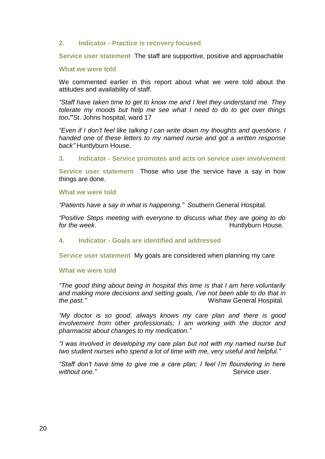### **2. Indicator - Practice is recovery focused**

**Service user statement** The staff are supportive, positive and approachable

#### **What we were told**

We commented earlier in this report about what we were told about the attitudes and availability of staff.

*"Staff have taken time to get to know me and I feel they understand me. They tolerate my moods but help me see what I need to do to get over things too***."**St. Johns hospital, ward 17

*"Even if I don"t feel like talking I can write down my thoughts and questions. I handed one of these letters to my named nurse and got a written response back"* Huntlyburn House.

**3. Indicator - Service promotes and acts on service user involvement**

**Service user statement** Those who use the service have a say in how things are done.

#### **What we were told**

*"Patients have a say in what is happening." S*outhern General Hospital.

*"Positive Steps meeting with everyone to discuss what they are going to do for the week.* **huntled** *he week.* **huntle** *huntlyburn House. huntlyburn House.* 

### **4. Indicator - Goals are identified and addressed**

**Service user statement** My goals are considered when planning my care

### **What we were told**

*"The good thing about being in hospital this time is that I am here voluntarily and making more decisions and setting goals, I"ve not been able to do that in the past."* Wishaw General Hospital*.*

*"My doctor is so good, always knows my care plan and there is good involvement from other professionals; I am working with the doctor and pharmacist about changes to my medication."*

*"I was involved in developing my care plan but not with my named nurse but two student nurses who spend a lot of time with me, very useful and helpful."*

*"Staff don"t have time to give me a care plan; I feel I"m floundering in here without one."*  $\qquad \qquad$   $\qquad \qquad$   $\qquad \qquad$  Service user.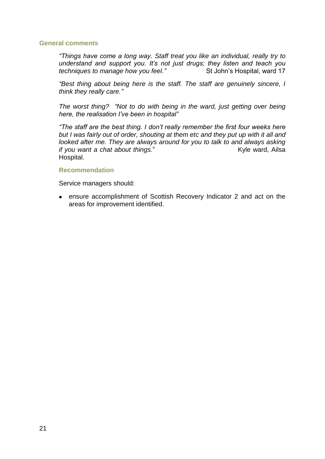### **General comments**

*"Things have come a long way. Staff treat you like an individual, really try to understand and support you. It"s not just drugs; they listen and teach you techniques to manage how you feel."* St John"s Hospital, ward 17

*"Best thing about being here is the staff. The staff are genuinely sincere, I think they really care."*

*The worst thing? "Not to do with being in the ward, just getting over being here, the realisation I"ve been in hospital"*

*"The staff are the best thing. I don"t really remember the first four weeks here but I was fairly out of order, shouting at them etc and they put up with it all and looked after me. They are always around for you to talk to and always asking if you want a chat about things.*" Kyle ward, Ailsa Hospital.

### **Recommendation**

Service managers should:

ensure accomplishment of Scottish Recovery Indicator 2 and act on the areas for improvement identified.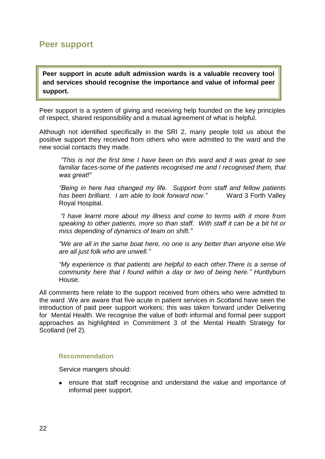## **Peer support**

**Peer support in acute adult admission wards is a valuable recovery tool and services should recognise the importance and value of informal peer support.** 

Peer support is a system of giving and receiving help founded on the key principles of respect, shared responsibility and a mutual agreement of what is helpful.

Although not identified specifically in the SRI 2, many people told us about the positive support they received from others who were admitted to the ward and the new social contacts they made.

*"This is not the first time I have been on this ward and it was great to see familiar faces-some of the patients recognised me and I recognised them, that was great!"*

*"Being in here has changed my life. Support from staff and fellow patients has been brilliant. I am able to look forward now."* Ward 3 Forth Valley Royal Hospital.

*"I have learnt more about my illness and come to terms with it more from speaking to other patients, more so than staff. With staff it can be a bit hit or miss depending of dynamics of team on shift."*

*"We are all in the same boat here, no one is any better than anyone else.We are all just folk who are unwell."*

*"My experience is that patients are helpful to each other.There is a sense of community here that I found within a day or two of being here." H*untlyburn House.

All comments here relate to the support received from others who were admitted to the ward .We are aware that five acute in patient services in Scotland have seen the introduction of paid peer support workers; this was taken forward under Delivering for Mental Health. We recognise the value of both informal and formal peer support approaches as highlighted in Commitment 3 of the Mental Health Strategy for Scotland (ref 2).

### **Recommendation**

Service mangers should:

ensure that staff recognise and understand the value and importance of informal peer support.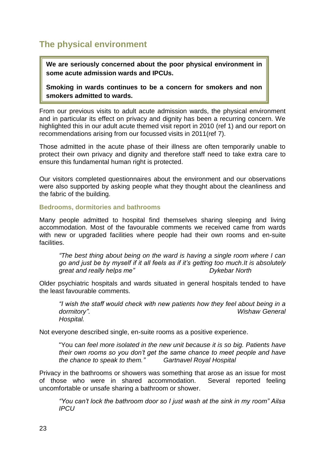# **The physical environment**

**We are seriously concerned about the poor physical environment in some acute admission wards and IPCUs.**

**Smoking in wards continues to be a concern for smokers and non smokers admitted to wards.**

From our previous visits to adult acute admission wards, the physical environment and in particular its effect on privacy and dignity has been a recurring concern. We highlighted this in our adult acute themed visit report in 2010 (ref 1) and our report on recommendations arising from our focussed visits in 2011(ref 7).

Those admitted in the acute phase of their illness are often temporarily unable to protect their own privacy and dignity and therefore staff need to take extra care to ensure this fundamental human right is protected.

Our visitors completed questionnaires about the environment and our observations were also supported by asking people what they thought about the cleanliness and the fabric of the building.

### **Bedrooms, dormitories and bathrooms**

Many people admitted to hospital find themselves sharing sleeping and living accommodation. Most of the favourable comments we received came from wards with new or upgraded facilities where people had their own rooms and en-suite **facilities** 

*"The best thing about being on the ward is having a single room where I can go and just be by myself if it all feels as if it"s getting too much.It is absolutely great and really helps me" Dykebar North*

Older psychiatric hospitals and wards situated in general hospitals tended to have the least favourable comments.

*"I wish the staff would check with new patients how they feel about being in a dormitory". Wishaw General Hospital.*

Not everyone described single, en-suite rooms as a positive experience.

"You c*an feel more isolated in the new unit because it is so big. Patients have their own rooms so you don"t get the same chance to meet people and have the chance to speak to them." Gartnavel Royal Hospital* 

Privacy in the bathrooms or showers was something that arose as an issue for most of those who were in shared accommodation. Several reported feeling uncomfortable or unsafe sharing a bathroom or shower.

*"You can"t lock the bathroom door so I just wash at the sink in my room" Ailsa IPCU*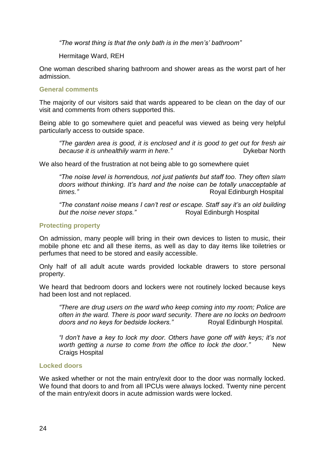*"The worst thing is that the only bath is in the men"s" bathroom"* 

Hermitage Ward, REH

One woman described sharing bathroom and shower areas as the worst part of her admission.

### **General comments**

The majority of our visitors said that wards appeared to be clean on the day of our visit and comments from others supported this.

Being able to go somewhere quiet and peaceful was viewed as being very helpful particularly access to outside space.

*"The garden area is good, it is enclosed and it is good to get out for fresh air*  **because** it is unhealthily warm in here." **Dykebar North** 

We also heard of the frustration at not being able to go somewhere quiet

*"The noise level is horrendous, not just patients but staff too. They often slam doors without thinking. It"s hard and the noise can be totally unacceptable at times.*" **Royal Edinburgh Hospital** 

*"The constant noise means I can"t rest or escape. Staff say it"s an old building*  **but the noise never stops."** Royal Edinburgh Hospital

### **Protecting property**

On admission, many people will bring in their own devices to listen to music, their mobile phone etc and all these items, as well as day to day items like toiletries or perfumes that need to be stored and easily accessible.

Only half of all adult acute wards provided lockable drawers to store personal property.

We heard that bedroom doors and lockers were not routinely locked because keys had been lost and not replaced.

*"There are drug users on the ward who keep coming into my room; Police are often in the ward. There is poor ward security. There are no locks on bedroom doors and no keys for bedside lockers.*" Royal Edinburgh Hospital.

*"I don"t have a key to lock my door. Others have gone off with keys; it"s not worth getting a nurse to come from the office to lock the door."* New Craigs Hospital

### **Locked doors**

We asked whether or not the main entry/exit door to the door was normally locked. We found that doors to and from all IPCUs were always locked. Twenty nine percent of the main entry/exit doors in acute admission wards were locked.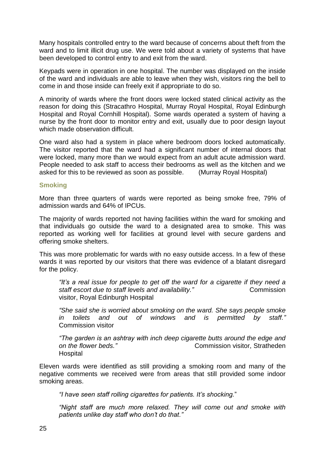Many hospitals controlled entry to the ward because of concerns about theft from the ward and to limit illicit drug use. We were told about a variety of systems that have been developed to control entry to and exit from the ward.

Keypads were in operation in one hospital. The number was displayed on the inside of the ward and individuals are able to leave when they wish, visitors ring the bell to come in and those inside can freely exit if appropriate to do so.

A minority of wards where the front doors were locked stated clinical activity as the reason for doing this (Stracathro Hospital, Murray Royal Hospital, Royal Edinburgh Hospital and Royal Cornhill Hospital). Some wards operated a system of having a nurse by the front door to monitor entry and exit, usually due to poor design layout which made observation difficult.

One ward also had a system in place where bedroom doors locked automatically. The visitor reported that the ward had a significant number of internal doors that were locked, many more than we would expect from an adult acute admission ward. People needed to ask staff to access their bedrooms as well as the kitchen and we asked for this to be reviewed as soon as possible. (Murray Royal Hospital)

### **Smoking**

More than three quarters of wards were reported as being smoke free, 79% of admission wards and 64% of IPCUs.

The majority of wards reported not having facilities within the ward for smoking and that individuals go outside the ward to a designated area to smoke. This was reported as working well for facilities at ground level with secure gardens and offering smoke shelters.

This was more problematic for wards with no easy outside access. In a few of these wards it was reported by our visitors that there was evidence of a blatant disregard for the policy.

*"It"s a real issue for people to get off the ward for a cigarette if they need a staff escort due to staff levels and availability.*" Commission visitor, Royal Edinburgh Hospital

*"She said she is worried about smoking on the ward. She says people smoke in toilets and out of windows and is permitted by staff."*  Commission visitor

*"The garden is an ashtray with inch deep cigarette butts around the edge and on the flower beds.*" **Commission visitor, Stratheden** Hospital

Eleven wards were identified as still providing a smoking room and many of the negative comments we received were from areas that still provided some indoor smoking areas.

*"I have seen staff rolling cigarettes for patients. It"s shocking.*"

*"Night staff are much more relaxed. They will come out and smoke with patients unlike day staff who don"t do that."*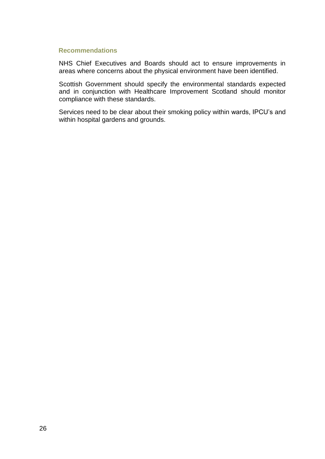#### **Recommendations**

NHS Chief Executives and Boards should act to ensure improvements in areas where concerns about the physical environment have been identified.

Scottish Government should specify the environmental standards expected and in conjunction with Healthcare Improvement Scotland should monitor compliance with these standards.

Services need to be clear about their smoking policy within wards, IPCU"s and within hospital gardens and grounds.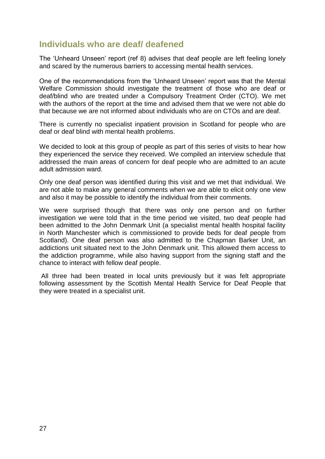### **Individuals who are deaf/ deafened**

The "Unheard Unseen" report (ref 8) advises that deaf people are left feeling lonely and scared by the numerous barriers to accessing mental health services.

One of the recommendations from the "Unheard Unseen" report was that the Mental Welfare Commission should investigate the treatment of those who are deaf or deaf/blind who are treated under a Compulsory Treatment Order (CTO). We met with the authors of the report at the time and advised them that we were not able do that because we are not informed about individuals who are on CTOs and are deaf.

There is currently no specialist inpatient provision in Scotland for people who are deaf or deaf blind with mental health problems.

We decided to look at this group of people as part of this series of visits to hear how they experienced the service they received. We compiled an interview schedule that addressed the main areas of concern for deaf people who are admitted to an acute adult admission ward.

Only one deaf person was identified during this visit and we met that individual. We are not able to make any general comments when we are able to elicit only one view and also it may be possible to identify the individual from their comments.

We were surprised though that there was only one person and on further investigation we were told that in the time period we visited, two deaf people had been admitted to the John Denmark Unit (a specialist mental health hospital facility in North Manchester which is commissioned to provide beds for deaf people from Scotland). One deaf person was also admitted to the Chapman Barker Unit, an addictions unit situated next to the John Denmark unit. This allowed them access to the addiction programme, while also having support from the signing staff and the chance to interact with fellow deaf people.

All three had been treated in local units previously but it was felt appropriate following assessment by the Scottish Mental Health Service for Deaf People that they were treated in a specialist unit.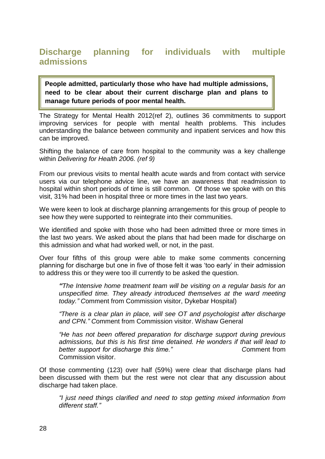# **Discharge planning for individuals with multiple admissions**

**People admitted, particularly those who have had multiple admissions, need to be clear about their current discharge plan and plans to manage future periods of poor mental health.**

The Strategy for Mental Health 2012(ref 2), outlines 36 commitments to support improving services for people with mental health problems. This includes understanding the balance between community and inpatient services and how this can be improved.

Shifting the balance of care from hospital to the community was a key challenge within *Delivering for Health 2006. (ref 9)*

From our previous visits to mental health acute wards and from contact with service users via our telephone advice line, we have an awareness that readmission to hospital within short periods of time is still common. Of those we spoke with on this visit, 31% had been in hospital three or more times in the last two years.

We were keen to look at discharge planning arrangements for this group of people to see how they were supported to reintegrate into their communities.

We identified and spoke with those who had been admitted three or more times in the last two years. We asked about the plans that had been made for discharge on this admission and what had worked well, or not, in the past.

Over four fifths of this group were able to make some comments concerning planning for discharge but one in five of those felt it was "too early" in their admission to address this or they were too ill currently to be asked the question.

*"The Intensive home treatment team will be visiting on a regular basis for an unspecified time. They already introduced themselves at the ward meeting today." C*omment from Commission visitor, Dykebar Hospital)

*"There is a clear plan in place, will see OT and psychologist after discharge and CPN." C*omment from Commission visitor. Wishaw General

*"He has not been offered preparation for discharge support during previous admissions, but this is his first time detained. He wonders if that will lead to*  **better** *support for discharge this time.*" Comment from Commission visitor.

Of those commenting (123) over half (59%) were clear that discharge plans had been discussed with them but the rest were not clear that any discussion about discharge had taken place.

*"I just need things clarified and need to stop getting mixed information from different staff."*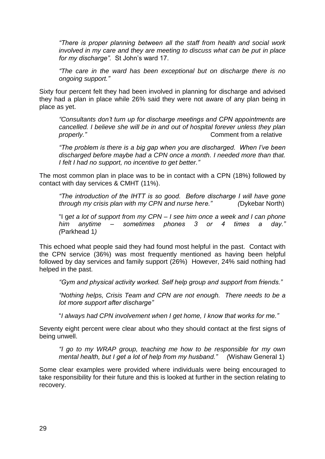*"There is proper planning between all the staff from health and social work involved in my care and they are meeting to discuss what can be put in place for my discharge".* St John"s ward 17.

*"The care in the ward has been exceptional but on discharge there is no ongoing support."*

Sixty four percent felt they had been involved in planning for discharge and advised they had a plan in place while 26% said they were not aware of any plan being in place as yet.

*"Consultants don"t turn up for discharge meetings and CPN appointments are cancelled. I believe she will be in and out of hospital forever unless they plan properly. Properly. Properly. Properly.* **Comment from a relative** 

*"The problem is there is a big gap when you are discharged. When I"ve been discharged before maybe had a CPN once a month. I needed more than that. I felt I had no support, no incentive to get better."*

The most common plan in place was to be in contact with a CPN (18%) followed by contact with day services & CMHT (11%).

*"The introduction of the IHTT is so good. Before discharge I will have gone through my crisis plan with my CPN and nurse here." (*Dykebar North)

"I g*et a lot of support from my CPN – I see him once a week and I can phone him anytime – sometimes phones 3 or 4 times a day." (*Parkhead 1*)*

This echoed what people said they had found most helpful in the past. Contact with the CPN service (36%) was most frequently mentioned as having been helpful followed by day services and family support (26%) However, 24% said nothing had helped in the past.

*"Gym and physical activity worked. Self help group and support from friends."*

*"Nothing helps, Crisis Team and CPN are not enough. There needs to be a lot more support after discharge"*

"*I always had CPN involvement when I get home, I know that works for me."*

Seventy eight percent were clear about who they should contact at the first signs of being unwell.

*"I go to my WRAP group, teaching me how to be responsible for my own mental health, but I get a lot of help from my husband." (*Wishaw General 1)

Some clear examples were provided where individuals were being encouraged to take responsibility for their future and this is looked at further in the section relating to recovery.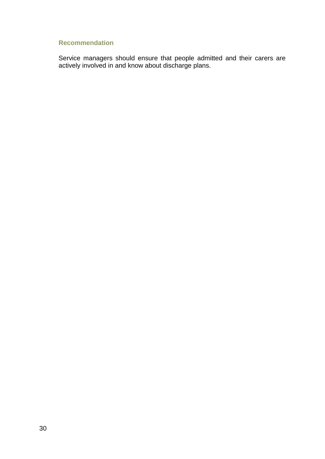### **Recommendation**

Service managers should ensure that people admitted and their carers are actively involved in and know about discharge plans.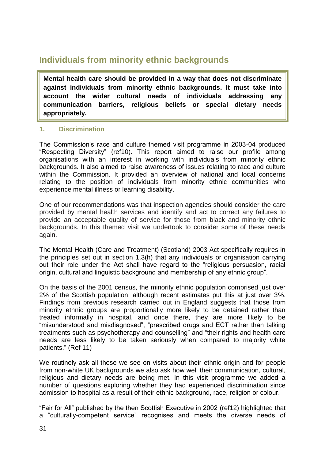# **Individuals from minority ethnic backgrounds**

**Mental health care should be provided in a way that does not discriminate against individuals from minority ethnic backgrounds. It must take into account the wider cultural needs of individuals addressing any communication barriers, religious beliefs or special dietary needs appropriately.**

### **1. Discrimination**

The Commission"s race and culture themed visit programme in 2003-04 produced "Respecting Diversity" (ref10). This report aimed to raise our profile among organisations with an interest in working with individuals from minority ethnic backgrounds. It also aimed to raise awareness of issues relating to race and culture within the Commission. It provided an overview of national and local concerns relating to the position of individuals from minority ethnic communities who experience mental illness or learning disability.

One of our recommendations was that inspection agencies should consider the care provided by mental health services and identify and act to correct any failures to provide an acceptable quality of service for those from black and minority ethnic backgrounds. In this themed visit we undertook to consider some of these needs again.

The Mental Health (Care and Treatment) (Scotland) 2003 Act specifically requires in the principles set out in section 1.3(h) that any individuals or organisation carrying out their role under the Act shall have regard to the "religious persuasion, racial origin, cultural and linguistic background and membership of any ethnic group".

On the basis of the 2001 census, the minority ethnic population comprised just over 2% of the Scottish population, although recent estimates put this at just over 3%. Findings from previous research carried out in England suggests that those from minority ethnic groups are proportionally more likely to be detained rather than treated informally in hospital, and once there, they are more likely to be "misunderstood and misdiagnosed", "prescribed drugs and ECT rather than talking treatments such as psychotherapy and counselling" and "their rights and health care needs are less likely to be taken seriously when compared to majority white patients." (Ref 11)

We routinely ask all those we see on visits about their ethnic origin and for people from non-white UK backgrounds we also ask how well their communication, cultural, religious and dietary needs are being met. In this visit programme we added a number of questions exploring whether they had experienced discrimination since admission to hospital as a result of their ethnic background, race, religion or colour.

"Fair for All" published by the then Scottish Executive in 2002 (ref12) highlighted that a "culturally-competent service" recognises and meets the diverse needs of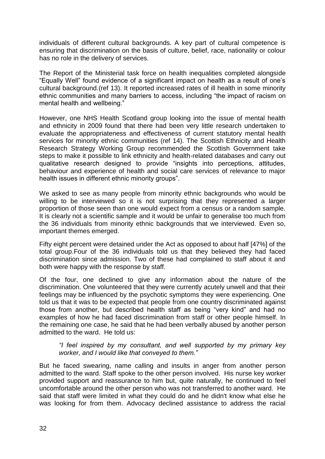individuals of different cultural backgrounds. A key part of cultural competence is ensuring that discrimination on the basis of culture, belief, race, nationality or colour has no role in the delivery of services.

The Report of the Ministerial task force on health inequalities completed alongside "Equally Well" found evidence of a significant impact on health as a result of one"s cultural background.(ref 13). It reported increased rates of ill health in some minority ethnic communities and many barriers to access, including "the impact of racism on mental health and wellbeing."

However, one NHS Health Scotland group looking into the issue of mental health and ethnicity in 2009 found that there had been very little research undertaken to evaluate the appropriateness and effectiveness of current statutory mental health services for minority ethnic communities (ref 14). The Scottish Ethnicity and Health Research Strategy Working Group recommended the Scottish Government take steps to make it possible to link ethnicity and health-related databases and carry out qualitative research designed to provide "insights into perceptions, attitudes, behaviour and experience of health and social care services of relevance to major health issues in different ethnic minority groups".

We asked to see as many people from minority ethnic backgrounds who would be willing to be interviewed so it is not surprising that they represented a larger proportion of those seen than one would expect from a census or a random sample. It is clearly not a scientific sample and it would be unfair to generalise too much from the 36 individuals from minority ethnic backgrounds that we interviewed. Even so, important themes emerged.

Fifty eight percent were detained under the Act as opposed to about half [47%] of the total group.Four of the 36 individuals told us that they believed they had faced discrimination since admission. Two of these had complained to staff about it and both were happy with the response by staff.

Of the four, one declined to give any information about the nature of the discrimination. One volunteered that they were currently acutely unwell and that their feelings may be influenced by the psychotic symptoms they were experiencing. One told us that it was to be expected that people from one country discriminated against those from another, but described health staff as being "very kind" and had no examples of how he had faced discrimination from staff or other people himself. In the remaining one case, he said that he had been verbally abused by another person admitted to the ward. He told us:

*"I feel inspired by my consultant, and well supported by my primary key worker, and I would like that conveyed to them."*

But he faced swearing, name calling and insults in anger from another person admitted to the ward. Staff spoke to the other person involved. His nurse key worker provided support and reassurance to him but, quite naturally, he continued to feel uncomfortable around the other person who was not transferred to another ward. He said that staff were limited in what they could do and he didn't know what else he was looking for from them. Advocacy declined assistance to address the racial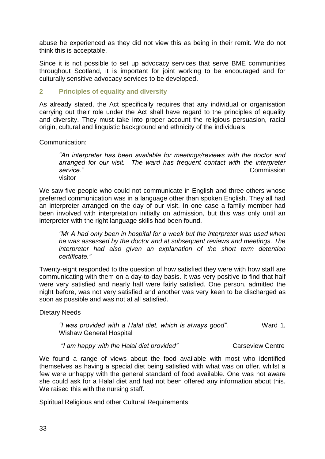abuse he experienced as they did not view this as being in their remit. We do not think this is acceptable.

Since it is not possible to set up advocacy services that serve BME communities throughout Scotland, it is important for joint working to be encouraged and for culturally sensitive advocacy services to be developed.

### **2 Principles of equality and diversity**

As already stated, the Act specifically requires that any individual or organisation carrying out their role under the Act shall have regard to the principles of equality and diversity. They must take into proper account the religious persuasion, racial origin, cultural and linguistic background and ethnicity of the individuals.

Communication:

*"An interpreter has been available for meetings/reviews with the doctor and arranged for our visit. The ward has frequent contact with the interpreter service."* **Commission** visitor

We saw five people who could not communicate in English and three others whose preferred communication was in a language other than spoken English. They all had an interpreter arranged on the day of our visit. In one case a family member had been involved with interpretation initially on admission, but this was only until an interpreter with the right language skills had been found.

*"Mr A had only been in hospital for a week but the interpreter was used when he was assessed by the doctor and at subsequent reviews and meetings. The interpreter had also given an explanation of the short term detention certificate."*

Twenty-eight responded to the question of how satisfied they were with how staff are communicating with them on a day-to-day basis. It was very positive to find that half were very satisfied and nearly half were fairly satisfied. One person, admitted the night before, was not very satisfied and another was very keen to be discharged as soon as possible and was not at all satisfied.

Dietary Needs

*"I was provided with a Halal diet, which is always good".* Ward 1, Wishaw General Hospital

"I am happy with the Halal diet provided" Carseview Centre

We found a range of views about the food available with most who identified themselves as having a special diet being satisfied with what was on offer, whilst a few were unhappy with the general standard of food available. One was not aware she could ask for a Halal diet and had not been offered any information about this. We raised this with the nursing staff.

Spiritual Religious and other Cultural Requirements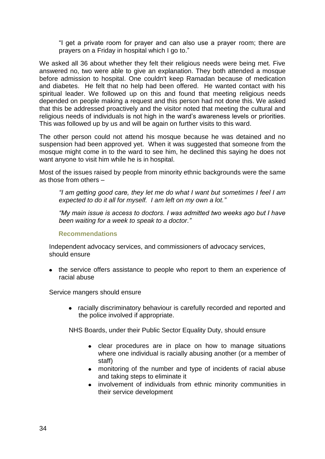"I get a private room for prayer and can also use a prayer room; there are prayers on a Friday in hospital which I go to."

We asked all 36 about whether they felt their religious needs were being met. Five answered no, two were able to give an explanation. They both attended a mosque before admission to hospital. One couldn't keep Ramadan because of medication and diabetes. He felt that no help had been offered. He wanted contact with his spiritual leader. We followed up on this and found that meeting religious needs depended on people making a request and this person had not done this. We asked that this be addressed proactively and the visitor noted that meeting the cultural and religious needs of individuals is not high in the ward"s awareness levels or priorities. This was followed up by us and will be again on further visits to this ward.

The other person could not attend his mosque because he was detained and no suspension had been approved yet. When it was suggested that someone from the mosque might come in to the ward to see him, he declined this saying he does not want anyone to visit him while he is in hospital.

Most of the issues raised by people from minority ethnic backgrounds were the same as those from others –

*"I am getting good care, they let me do what I want but sometimes I feel I am expected to do it all for myself. I am left on my own a lot."*

*"My main issue is access to doctors. I was admitted two weeks ago but I have been waiting for a week to speak to a doctor."*

### **Recommendations**

Independent advocacy services, and commissioners of advocacy services, should ensure

• the service offers assistance to people who report to them an experience of racial abuse

Service mangers should ensure

racially discriminatory behaviour is carefully recorded and reported and the police involved if appropriate.

NHS Boards, under their Public Sector Equality Duty, should ensure

- clear procedures are in place on how to manage situations  $\bullet$ where one individual is racially abusing another (or a member of staff)
- monitoring of the number and type of incidents of racial abuse and taking steps to eliminate it
- involvement of individuals from ethnic minority communities in  $\bullet$ their service development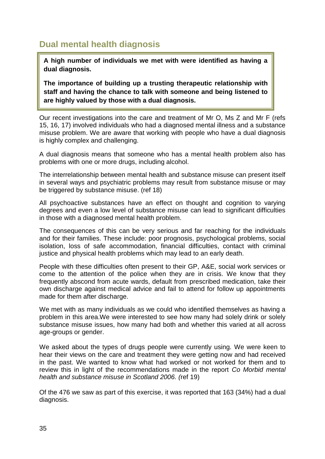## **Dual mental health diagnosis**

**A high number of individuals we met with were identified as having a dual diagnosis.** 

**The importance of building up a trusting therapeutic relationship with staff and having the chance to talk with someone and being listened to are highly valued by those with a dual diagnosis.**

Our recent investigations into the care and treatment of Mr O, Ms Z and Mr F (refs 15, 16, 17) involved individuals who had a diagnosed mental illness and a substance misuse problem. We are aware that working with people who have a dual diagnosis is highly complex and challenging.

A dual diagnosis means that someone who has a mental health problem also has problems with one or more drugs, including alcohol.

The interrelationship between mental health and substance misuse can present itself in several ways and psychiatric problems may result from substance misuse or may be triggered by substance misuse. (ref 18)

All psychoactive substances have an effect on thought and cognition to varying degrees and even a low level of substance misuse can lead to significant difficulties in those with a diagnosed mental health problem.

The consequences of this can be very serious and far reaching for the individuals and for their families. These include: poor prognosis, psychological problems, social isolation, loss of safe accommodation, financial difficulties, contact with criminal justice and physical health problems which may lead to an early death.

People with these difficulties often present to their GP, A&E, social work services or come to the attention of the police when they are in crisis. We know that they frequently abscond from acute wards, default from prescribed medication, take their own discharge against medical advice and fail to attend for follow up appointments made for them after discharge.

We met with as many individuals as we could who identified themselves as having a problem in this area.We were interested to see how many had solely drink or solely substance misuse issues, how many had both and whether this varied at all across age-groups or gender.

We asked about the types of drugs people were currently using. We were keen to hear their views on the care and treatment they were getting now and had received in the past. We wanted to know what had worked or not worked for them and to review this in light of the recommendations made in the report *Co Morbid mental health and substance misuse in Scotland 2006. (*ref 19)

Of the 476 we saw as part of this exercise, it was reported that 163 (34%) had a dual diagnosis.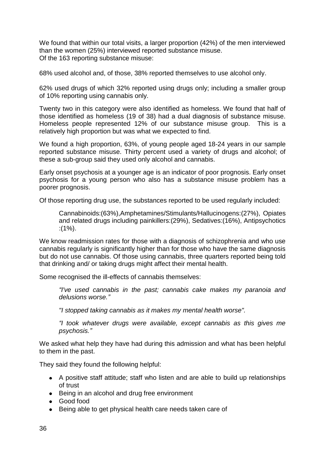We found that within our total visits, a larger proportion (42%) of the men interviewed than the women (25%) interviewed reported substance misuse. Of the 163 reporting substance misuse:

68% used alcohol and, of those, 38% reported themselves to use alcohol only.

62% used drugs of which 32% reported using drugs only; including a smaller group of 10% reporting using cannabis only.

Twenty two in this category were also identified as homeless. We found that half of those identified as homeless (19 of 38) had a dual diagnosis of substance misuse. Homeless people represented 12% of our substance misuse group. This is a relatively high proportion but was what we expected to find.

We found a high proportion, 63%, of young people aged 18-24 years in our sample reported substance misuse. Thirty percent used a variety of drugs and alcohol; of these a sub-group said they used only alcohol and cannabis.

Early onset psychosis at a younger age is an indicator of poor prognosis. Early onset psychosis for a young person who also has a substance misuse problem has a poorer prognosis.

Of those reporting drug use, the substances reported to be used regularly included:

Cannabinoids:(63%),Amphetamines/Stimulants/Hallucinogens:(27%), Opiates and related drugs including painkillers:(29%), Sedatives:(16%), Antipsychotics :(1%).

We know readmission rates for those with a diagnosis of schizophrenia and who use cannabis regularly is significantly higher than for those who have the same diagnosis but do not use cannabis. Of those using cannabis, three quarters reported being told that drinking and/ or taking drugs might affect their mental health.

Some recognised the ill-effects of cannabis themselves:

*"I've used cannabis in the past; cannabis cake makes my paranoia and delusions worse."*

*"I stopped taking cannabis as it makes my mental health worse".*

*"I took whatever drugs were available, except cannabis as this gives me psychosis."*

We asked what help they have had during this admission and what has been helpful to them in the past.

They said they found the following helpful:

- A positive staff attitude; staff who listen and are able to build up relationships of trust
- Being in an alcohol and drug free environment
- Good food
- Being able to get physical health care needs taken care of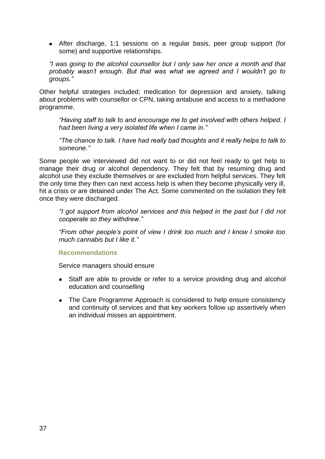After discharge, 1:1 sessions on a regular basis, peer group support (for some) and supportive relationships.

*"I was going to the alcohol counsellor but I only saw her once a month and that probably wasn"t enough. But that was what we agreed and I wouldn"t go to groups."*

Other helpful strategies included; medication for depression and anxiety, talking about problems with counsellor or CPN, taking antabuse and access to a methadone programme.

*"Having staff to talk to and encourage me to get involved with others helped. I had been living a very isolated life when I came in."*

*"The chance to talk. I have had really bad thoughts and it really helps to talk to someone."*

Some people we interviewed did not want to or did not feel ready to get help to manage their drug or alcohol dependency. They felt that by resuming drug and alcohol use they exclude themselves or are excluded from helpful services. They felt the only time they then can next access help is when they become physically very ill, hit a crisis or are detained under The Act. Some commented on the isolation they felt once they were discharged.

*"I got support from alcohol services and this helped in the past but I did not cooperate so they withdrew."*

*"From other people"s point of view I drink too much and I know I smoke too much cannabis but I like it."*

### **Recommendations**

Service managers should ensure

- Staff are able to provide or refer to a service providing drug and alcohol  $\bullet$ education and counselling
- The Care Programme Approach is considered to help ensure consistency and continuity of services and that key workers follow up assertively when an individual misses an appointment.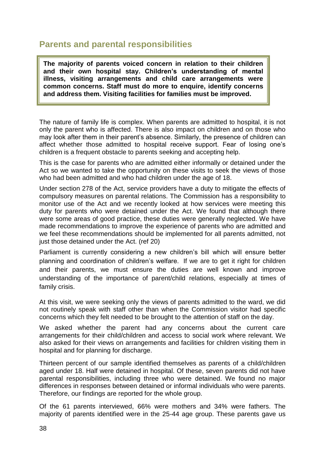## **Parents and parental responsibilities**

**The majority of parents voiced concern in relation to their children and their own hospital stay. Children's understanding of mental illness, visiting arrangements and child care arrangements were common concerns. Staff must do more to enquire, identify concerns and address them. Visiting facilities for families must be improved.**

The nature of family life is complex. When parents are admitted to hospital, it is not only the parent who is affected. There is also impact on children and on those who may look after them in their parent"s absence. Similarly, the presence of children can affect whether those admitted to hospital receive support. Fear of losing one"s children is a frequent obstacle to parents seeking and accepting help.

This is the case for parents who are admitted either informally or detained under the Act so we wanted to take the opportunity on these visits to seek the views of those who had been admitted and who had children under the age of 18.

Under section 278 of the Act, service providers have a duty to mitigate the effects of compulsory measures on parental relations. The Commission has a responsibility to monitor use of the Act and we recently looked at how services were meeting this duty for parents who were detained under the Act. We found that although there were some areas of good practice, these duties were generally neglected. We have made recommendations to improve the experience of parents who are admitted and we feel these recommendations should be implemented for all parents admitted, not just those detained under the Act. (ref 20)

Parliament is currently considering a new children's bill which will ensure better planning and coordination of children"s welfare. If we are to get it right for children and their parents, we must ensure the duties are well known and improve understanding of the importance of parent/child relations, especially at times of family crisis.

At this visit, we were seeking only the views of parents admitted to the ward, we did not routinely speak with staff other than when the Commission visitor had specific concerns which they felt needed to be brought to the attention of staff on the day.

We asked whether the parent had any concerns about the current care arrangements for their child/children and access to social work where relevant. We also asked for their views on arrangements and facilities for children visiting them in hospital and for planning for discharge.

Thirteen percent of our sample identified themselves as parents of a child/children aged under 18. Half were detained in hospital. Of these, seven parents did not have parental responsibilities, including three who were detained. We found no major differences in responses between detained or informal individuals who were parents. Therefore, our findings are reported for the whole group.

Of the 61 parents interviewed, 66% were mothers and 34% were fathers. The majority of parents identified were in the 25-44 age group. These parents gave us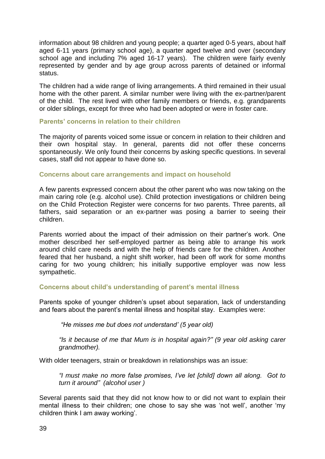information about 98 children and young people; a quarter aged 0-5 years, about half aged 6-11 years (primary school age), a quarter aged twelve and over (secondary school age and including 7% aged 16-17 years). The children were fairly evenly represented by gender and by age group across parents of detained or informal status.

The children had a wide range of living arrangements. A third remained in their usual home with the other parent. A similar number were living with the ex-partner/parent of the child. The rest lived with other family members or friends, e.g. grandparents or older siblings, except for three who had been adopted or were in foster care.

### **Parents' concerns in relation to their children**

The majority of parents voiced some issue or concern in relation to their children and their own hospital stay. In general, parents did not offer these concerns spontaneously. We only found their concerns by asking specific questions. In several cases, staff did not appear to have done so.

### **Concerns about care arrangements and impact on household**

A few parents expressed concern about the other parent who was now taking on the main caring role (e.g. alcohol use). Child protection investigations or children being on the Child Protection Register were concerns for two parents. Three parents, all fathers, said separation or an ex-partner was posing a barrier to seeing their children.

Parents worried about the impact of their admission on their partner"s work. One mother described her self-employed partner as being able to arrange his work around child care needs and with the help of friends care for the children. Another feared that her husband, a night shift worker, had been off work for some months caring for two young children; his initially supportive employer was now less sympathetic.

### **Concerns about child's understanding of parent's mental illness**

Parents spoke of younger children"s upset about separation, lack of understanding and fears about the parent's mental illness and hospital stay. Examples were:

*"He misses me but does not understand" (5 year old)*

*"Is it because of me that Mum is in hospital again?" (9 year old asking carer grandmother).*

With older teenagers, strain or breakdown in relationships was an issue:

*"I must make no more false promises, I"ve let [child] down all along. Got to turn it around" (alcohol user )*

Several parents said that they did not know how to or did not want to explain their mental illness to their children; one chose to say she was "not well", another "my children think I am away working".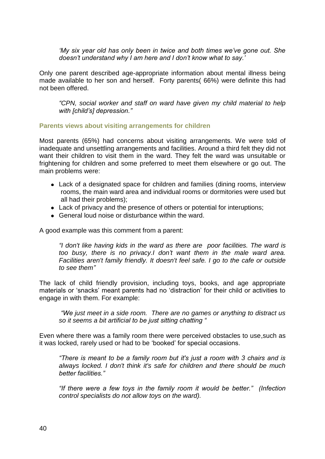*"My six year old has only been in twice and both times we"ve gone out. She doesn"t understand why I am here and I don"t know what to say."*

Only one parent described age-appropriate information about mental illness being made available to her son and herself. Forty parents( 66%) were definite this had not been offered.

*"CPN, social worker and staff on ward have given my child material to help with [child"s] depression."*

### **Parents views about visiting arrangements for children**

Most parents (65%) had concerns about visiting arrangements. We were told of inadequate and unsettling arrangements and facilities. Around a third felt they did not want their children to visit them in the ward. They felt the ward was unsuitable or frightening for children and some preferred to meet them elsewhere or go out. The main problems were:

- Lack of a designated space for children and families (dining rooms, interview rooms, the main ward area and individual rooms or dormitories were used but all had their problems);
- Lack of privacy and the presence of others or potential for interuptions;
- General loud noise or disturbance within the ward.

A good example was this comment from a parent:

*"I don't like having kids in the ward as there are poor facilities. The ward is too busy, there is no privacy.I don"t want them in the male ward area. Facilities aren't family friendly. It doesn't feel safe. I go to the cafe or outside to see them"*

The lack of child friendly provision, including toys, books, and age appropriate materials or "snacks" meant parents had no "distraction" for their child or activities to engage in with them. For example:

*"We just meet in a side room. There are no games or anything to distract us so it seems a bit artificial to be just sitting chatting "*

Even where there was a family room there were perceived obstacles to use,such as it was locked, rarely used or had to be "booked" for special occasions.

*"There is meant to be a family room but it's just a room with 3 chairs and is always locked. I don't think it's safe for children and there should be much better facilities."*

*"If there were a few toys in the family room it would be better." (Infection control specialists do not allow toys on the ward).*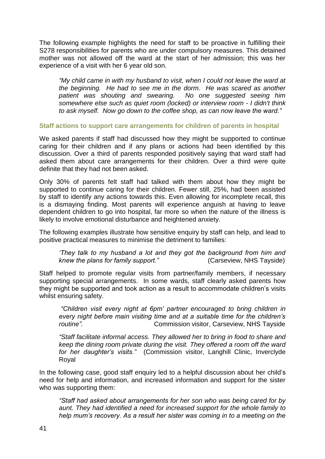The following example highlights the need for staff to be proactive in fulfilling their S278 responsibilities for parents who are under compulsory measures. This detained mother was not allowed off the ward at the start of her admission; this was her experience of a visit with her 6 year old son.

*"My child came in with my husband to visit, when I could not leave the ward at the beginning. He had to see me in the dorm. He was scared as another patient was shouting and swearing. No one suggested seeing him somewhere else such as quiet room (locked) or interview room - I didn't think to ask myself. Now go down to the coffee shop, as can now leave the ward."*

### **Staff actions to support care arrangements for children of parents in hospital**

We asked parents if staff had discussed how they might be supported to continue caring for their children and if any plans or actions had been identified by this discussion. Over a third of parents responded positively saying that ward staff had asked them about care arrangements for their children. Over a third were quite definite that they had not been asked.

Only 30% of parents felt staff had talked with them about how they might be supported to continue caring for their children. Fewer still, 25%, had been assisted by staff to identify any actions towards this. Even allowing for incomplete recall, this is a dismaying finding. Most parents will experience anguish at having to leave dependent children to go into hospital, far more so when the nature of the illness is likely to involve emotional disturbance and heightened anxiety.

The following examples illustrate how sensitive enquiry by staff can help, and lead to positive practical measures to minimise the detriment to families:

*"They talk to my husband a lot and they got the background from him and knew the plans for family support."* (Carseview, NHS Tayside)

Staff helped to promote regular visits from partner/family members, if necessary supporting special arrangements. In some wards, staff clearly asked parents how they might be supported and took action as a result to accommodate children"s visits whilst ensuring safety.

*"Children visit every night at 6pm" partner encouraged to bring children in every night before main visiting time and at a suitable time for the children"s routine".* Commission visitor, Carseview, NHS Tayside

*"Staff facilitate informal access. They allowed her to bring in food to share and keep the dining room private during the visit. They offered a room off the ward for her daughter"s visits."* (Commission visitor, Langhill Clinic, Inverclyde Royal

In the following case, good staff enquiry led to a helpful discussion about her child"s need for help and information, and increased information and support for the sister who was supporting them:

*"Staff had asked about arrangements for her son who was being cared for by aunt. They had identified a need for increased support for the whole family to help mum"s recovery. As a result her sister was coming in to a meeting on the*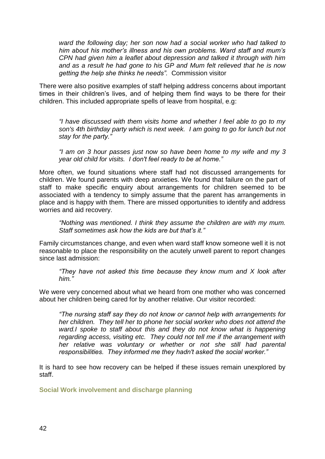*ward the following day; her son now had a social worker who had talked to him about his mother"s illness and his own problems. Ward staff and mum"s CPN had given him a leaflet about depression and talked it through with him and as a result he had gone to his GP and Mum felt relieved that he is now getting the help she thinks he needs".* Commission visitor

There were also positive examples of staff helping address concerns about important times in their children"s lives, and of helping them find ways to be there for their children. This included appropriate spells of leave from hospital, e.g:

*"I have discussed with them visits home and whether I feel able to go to my son's 4th birthday party which is next week. I am going to go for lunch but not stay for the party."* 

*"I am on 3 hour passes just now so have been home to my wife and my 3 year old child for visits. I don't feel ready to be at home."*

More often, we found situations where staff had not discussed arrangements for children. We found parents with deep anxieties. We found that failure on the part of staff to make specific enquiry about arrangements for children seemed to be associated with a tendency to simply assume that the parent has arrangements in place and is happy with them. There are missed opportunities to identify and address worries and aid recovery.

*"Nothing was mentioned. I think they assume the children are with my mum. Staff sometimes ask how the kids are but that"s it."* 

Family circumstances change, and even when ward staff know someone well it is not reasonable to place the responsibility on the acutely unwell parent to report changes since last admission:

*"They have not asked this time because they know mum and X look after him."*

We were very concerned about what we heard from one mother who was concerned about her children being cared for by another relative. Our visitor recorded:

*"The nursing staff say they do not know or cannot help with arrangements for her children. They tell her to phone her social worker who does not attend the*  ward.I spoke to staff about this and they do not know what is happening *regarding access, visiting etc. They could not tell me if the arrangement with her relative was voluntary or whether or not she still had parental responsibilities. They informed me they hadn't asked the social worker."*

It is hard to see how recovery can be helped if these issues remain unexplored by staff.

**Social Work involvement and discharge planning**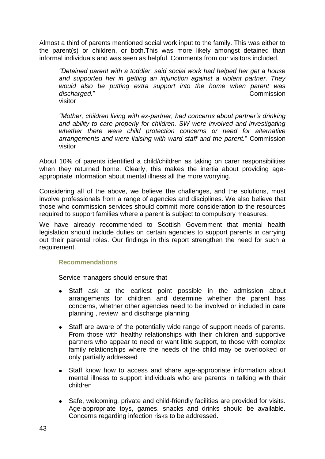Almost a third of parents mentioned social work input to the family. This was either to the parent(s) or children, or both.This was more likely amongst detained than informal individuals and was seen as helpful. Comments from our visitors included.

*"Detained parent with a toddler, said social work had helped her get a house and supported her in getting an injunction against a violent partner. They would also be putting extra support into the home when parent was*  discharged." visitor

*"Mother, children living with ex-partner, had concerns about partner"s drinking*  and ability to care properly for children. SW were involved and investigating *whether there were child protection concerns or need for alternative arrangements and were liaising with ward staff and the parent.*" Commission visitor

About 10% of parents identified a child/children as taking on carer responsibilities when they returned home. Clearly, this makes the inertia about providing ageappropriate information about mental illness all the more worrying.

Considering all of the above, we believe the challenges, and the solutions, must involve professionals from a range of agencies and disciplines. We also believe that those who commission services should commit more consideration to the resources required to support families where a parent is subject to compulsory measures.

We have already recommended to Scottish Government that mental health legislation should include duties on certain agencies to support parents in carrying out their parental roles. Our findings in this report strengthen the need for such a requirement.

### **Recommendations**

Service managers should ensure that

- Staff ask at the earliest point possible in the admission about arrangements for children and determine whether the parent has concerns, whether other agencies need to be involved or included in care planning , review and discharge planning
- Staff are aware of the potentially wide range of support needs of parents. From those with healthy relationships with their children and supportive partners who appear to need or want little support, to those with complex family relationships where the needs of the child may be overlooked or only partially addressed
- Staff know how to access and share age-appropriate information about  $\bullet$ mental illness to support individuals who are parents in talking with their children
- $\bullet$ Safe, welcoming, private and child-friendly facilities are provided for visits. Age-appropriate toys, games, snacks and drinks should be available. Concerns regarding infection risks to be addressed.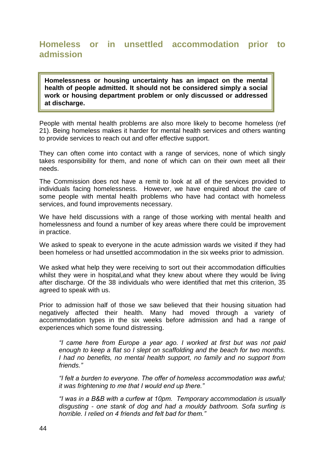### **Homeless or in unsettled accommodation prior to admission**

**Homelessness or housing uncertainty has an impact on the mental health of people admitted. It should not be considered simply a social work or housing department problem or only discussed or addressed at discharge.**

People with mental health problems are also more likely to become homeless (ref 21). Being homeless makes it harder for mental health services and others wanting to provide services to reach out and offer effective support.

They can often come into contact with a range of services, none of which singly takes responsibility for them, and none of which can on their own meet all their needs.

The Commission does not have a remit to look at all of the services provided to individuals facing homelessness. However, we have enquired about the care of some people with mental health problems who have had contact with homeless services, and found improvements necessary.

We have held discussions with a range of those working with mental health and homelessness and found a number of key areas where there could be improvement in practice.

We asked to speak to everyone in the acute admission wards we visited if they had been homeless or had unsettled accommodation in the six weeks prior to admission.

We asked what help they were receiving to sort out their accommodation difficulties whilst they were in hospital,and what they knew about where they would be living after discharge. Of the 38 individuals who were identified that met this criterion, 35 agreed to speak with us.

Prior to admission half of those we saw believed that their housing situation had negatively affected their health. Many had moved through a variety of accommodation types in the six weeks before admission and had a range of experiences which some found distressing.

*"I came here from Europe a year ago. I worked at first but was not paid enough to keep a flat so I slept on scaffolding and the beach for two months. I had no benefits, no mental health support, no family and no support from friends."*

*"I felt a burden to everyone. The offer of homeless accommodation was awful; it was frightening to me that I would end up there."*

*"I was in a B&B with a curfew at 10pm. Temporary accommodation is usually disgusting - one stank of dog and had a mouldy bathroom. Sofa surfing is horrible. I relied on 4 friends and felt bad for them."*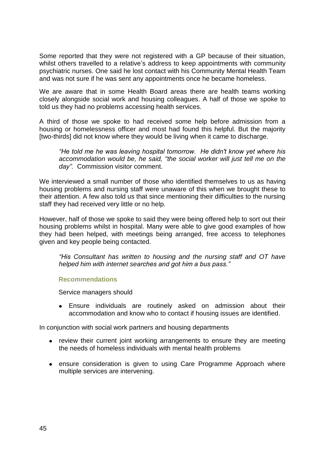Some reported that they were not registered with a GP because of their situation, whilst others travelled to a relative's address to keep appointments with community psychiatric nurses. One said he lost contact with his Community Mental Health Team and was not sure if he was sent any appointments once he became homeless.

We are aware that in some Health Board areas there are health teams working closely alongside social work and housing colleagues. A half of those we spoke to told us they had no problems accessing health services.

A third of those we spoke to had received some help before admission from a housing or homelessness officer and most had found this helpful. But the majority [two-thirds] did not know where they would be living when it came to discharge.

*"He told me he was leaving hospital tomorrow. He didn't know yet where his accommodation would be, he said, "the social worker will just tell me on the day".* Commission visitor comment.

We interviewed a small number of those who identified themselves to us as having housing problems and nursing staff were unaware of this when we brought these to their attention. A few also told us that since mentioning their difficulties to the nursing staff they had received very little or no help.

However, half of those we spoke to said they were being offered help to sort out their housing problems whilst in hospital. Many were able to give good examples of how they had been helped, with meetings being arranged, free access to telephones given and key people being contacted.

*"His Consultant has written to housing and the nursing staff and OT have helped him with internet searches and got him a bus pass."*

### **Recommendations**

Service managers should

Ensure individuals are routinely asked on admission about their accommodation and know who to contact if housing issues are identified.

In conjunction with social work partners and housing departments

- review their current joint working arrangements to ensure they are meeting the needs of homeless individuals with mental health problems
- ensure consideration is given to using Care Programme Approach where multiple services are intervening.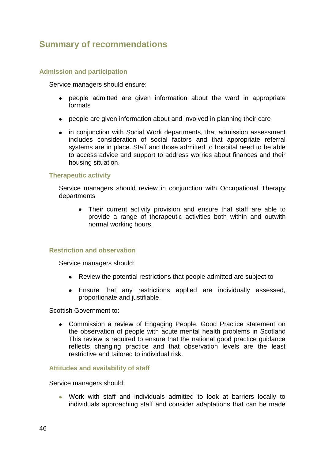# **Summary of recommendations**

### **Admission and participation**

Service managers should ensure:

- people admitted are given information about the ward in appropriate formats
- people are given information about and involved in planning their care
- in conjunction with Social Work departments, that admission assessment includes consideration of social factors and that appropriate referral systems are in place. Staff and those admitted to hospital need to be able to access advice and support to address worries about finances and their housing situation.

### **Therapeutic activity**

Service managers should review in conjunction with Occupational Therapy departments

Their current activity provision and ensure that staff are able to provide a range of therapeutic activities both within and outwith normal working hours.

### **Restriction and observation**

Service managers should:

- Review the potential restrictions that people admitted are subject to
- Ensure that any restrictions applied are individually assessed, proportionate and justifiable.

Scottish Government to:

Commission a review of Engaging People, Good Practice statement on the observation of people with acute mental health problems in Scotland This review is required to ensure that the national good practice guidance reflects changing practice and that observation levels are the least restrictive and tailored to individual risk.

### **Attitudes and availability of staff**

Service managers should:

Work with staff and individuals admitted to look at barriers locally to individuals approaching staff and consider adaptations that can be made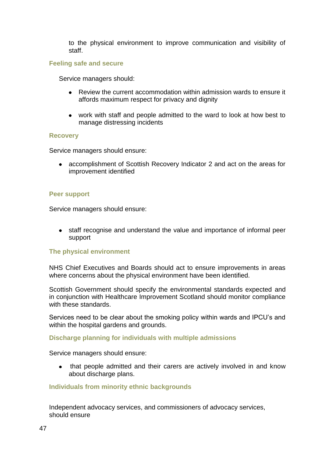to the physical environment to improve communication and visibility of staff.

### **Feeling safe and secure**

Service managers should:

- Review the current accommodation within admission wards to ensure it affords maximum respect for privacy and dignity
- work with staff and people admitted to the ward to look at how best to manage distressing incidents

### **Recovery**

Service managers should ensure:

accomplishment of Scottish Recovery Indicator 2 and act on the areas for improvement identified

### **Peer support**

Service managers should ensure:

staff recognise and understand the value and importance of informal peer support

### **The physical environment**

NHS Chief Executives and Boards should act to ensure improvements in areas where concerns about the physical environment have been identified.

Scottish Government should specify the environmental standards expected and in conjunction with Healthcare Improvement Scotland should monitor compliance with these standards.

Services need to be clear about the smoking policy within wards and IPCU"s and within the hospital gardens and grounds.

### **Discharge planning for individuals with multiple admissions**

Service managers should ensure:

• that people admitted and their carers are actively involved in and know about discharge plans.

### **Individuals from minority ethnic backgrounds**

Independent advocacy services, and commissioners of advocacy services, should ensure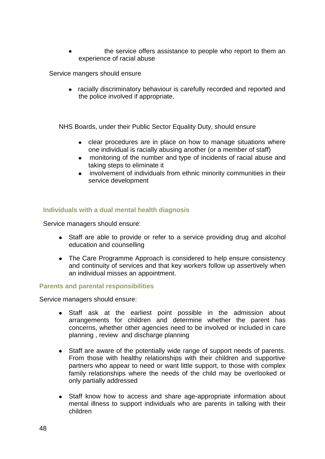the service offers assistance to people who report to them an experience of racial abuse

Service mangers should ensure

racially discriminatory behaviour is carefully recorded and reported and the police involved if appropriate.

NHS Boards, under their Public Sector Equality Duty, should ensure

- clear procedures are in place on how to manage situations where one individual is racially abusing another (or a member of staff)
- monitoring of the number and type of incidents of racial abuse and taking steps to eliminate it
- involvement of individuals from ethnic minority communities in their service development

### **Individuals with a dual mental health diagnosis**

Service managers should ensure:

- Staff are able to provide or refer to a service providing drug and alcohol education and counselling
- The Care Programme Approach is considered to help ensure consistency and continuity of services and that key workers follow up assertively when an individual misses an appointment.

### **Parents and parental responsibilities**

Service managers should ensure:

- Staff ask at the earliest point possible in the admission about  $\bullet$ arrangements for children and determine whether the parent has concerns, whether other agencies need to be involved or included in care planning , review and discharge planning
- $\bullet$ Staff are aware of the potentially wide range of support needs of parents. From those with healthy relationships with their children and supportive partners who appear to need or want little support, to those with complex family relationships where the needs of the child may be overlooked or only partially addressed
- Staff know how to access and share age-appropriate information about  $\bullet$ mental illness to support individuals who are parents in talking with their children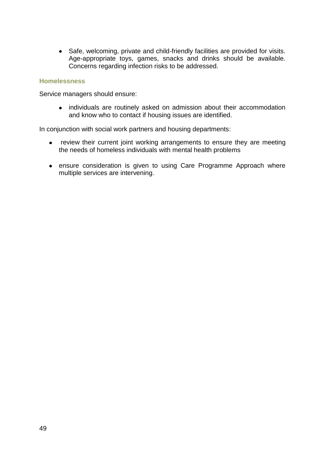Safe, welcoming, private and child-friendly facilities are provided for visits. Age-appropriate toys, games, snacks and drinks should be available. Concerns regarding infection risks to be addressed.

### **Homelessness**

Service managers should ensure:

individuals are routinely asked on admission about their accommodation  $\bullet$ and know who to contact if housing issues are identified.

In conjunction with social work partners and housing departments:

- review their current joint working arrangements to ensure they are meeting the needs of homeless individuals with mental health problems
- ensure consideration is given to using Care Programme Approach where multiple services are intervening.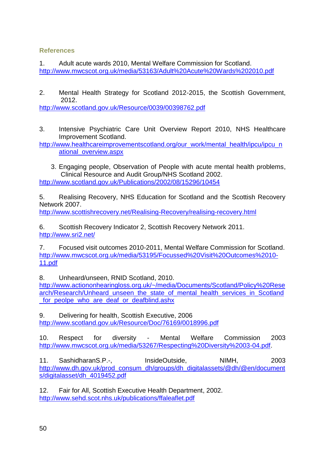### **References**

1. Adult acute wards 2010, Mental Welfare Commission for Scotland. <http://www.mwcscot.org.uk/media/53163/Adult%20Acute%20Wards%202010.pdf>

2. Mental Health Strategy for Scotland 2012-2015, the Scottish Government, 2012.

<http://www.scotland.gov.uk/Resource/0039/00398762.pdf>

3. Intensive Psychiatric Care Unit Overview Report 2010, NHS Healthcare Improvement Scotland.

[http://www.healthcareimprovementscotland.org/our\\_work/mental\\_health/ipcu/ipcu\\_n](http://www.healthcareimprovementscotland.org/our_work/mental_health/ipcu/ipcu_national_overview.aspx) [ational\\_overview.aspx](http://www.healthcareimprovementscotland.org/our_work/mental_health/ipcu/ipcu_national_overview.aspx)

3. Engaging people, Observation of People with acute mental health problems, Clinical Resource and Audit Group/NHS Scotland 2002. <http://www.scotland.gov.uk/Publications/2002/08/15296/10454>

5. Realising Recovery, NHS Education for Scotland and the Scottish Recovery Network 2007.

<http://www.scottishrecovery.net/Realising-Recovery/realising-recovery.html>

6. Scottish Recovery Indicator 2, Scottish Recovery Network 2011. <http://www.sri2.net/>

7. Focused visit outcomes 2010-2011, Mental Welfare Commission for Scotland. [http://www.mwcscot.org.uk/media/53195/Focussed%20Visit%20Outcomes%2010-](http://www.mwcscot.org.uk/media/53195/Focussed%20Visit%20Outcomes%2010-11.pdf) [11.pdf](http://www.mwcscot.org.uk/media/53195/Focussed%20Visit%20Outcomes%2010-11.pdf)

8. Unheard/unseen, RNID Scotland, 2010.

[http://www.actiononhearingloss.org.uk/~/media/Documents/Scotland/Policy%20Rese](http://www.actiononhearingloss.org.uk/~/media/Documents/Scotland/Policy%20Research/Research/Unheard_unseen_the_state_of_mental_health_services_in_Scotland_for_peolpe_who_are_deaf_or_deafblind.ashx) [arch/Research/Unheard\\_unseen\\_the\\_state\\_of\\_mental\\_health\\_services\\_in\\_Scotland](http://www.actiononhearingloss.org.uk/~/media/Documents/Scotland/Policy%20Research/Research/Unheard_unseen_the_state_of_mental_health_services_in_Scotland_for_peolpe_who_are_deaf_or_deafblind.ashx) [\\_for\\_peolpe\\_who\\_are\\_deaf\\_or\\_deafblind.ashx](http://www.actiononhearingloss.org.uk/~/media/Documents/Scotland/Policy%20Research/Research/Unheard_unseen_the_state_of_mental_health_services_in_Scotland_for_peolpe_who_are_deaf_or_deafblind.ashx)

9. Delivering for health, Scottish Executive, 2006 <http://www.scotland.gov.uk/Resource/Doc/76169/0018996.pdf>

10. Respect for diversity - Mental Welfare Commission 2003 [http://www.mwcscot.org.uk/media/53267/Respecting%20Diversity%2003-04.pdf.](http://www.mwcscot.org.uk/media/53267/Respecting%20Diversity%2003-04.pdf)

11. SashidharanS.P.-, InsideOutside, NIMH, 2003 [http://www.dh.gov.uk/prod\\_consum\\_dh/groups/dh\\_digitalassets/@dh/@en/document](http://www.dh.gov.uk/prod_consum_dh/groups/dh_digitalassets/@dh/@en/documents/digitalasset/dh_4019452.pdf) [s/digitalasset/dh\\_4019452.pdf](http://www.dh.gov.uk/prod_consum_dh/groups/dh_digitalassets/@dh/@en/documents/digitalasset/dh_4019452.pdf)

12. Fair for All, Scottish Executive Health Department, 2002. <http://www.sehd.scot.nhs.uk/publications/ffaleaflet.pdf>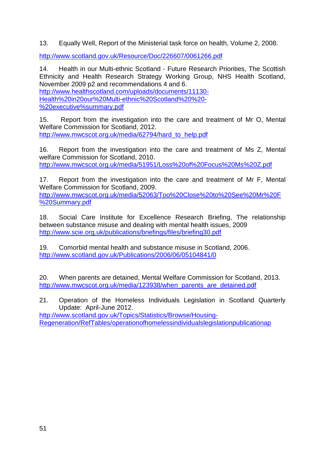13. Equally Well, Report of the Ministerial task force on health, Volume 2, 2008.

<http://www.scotland.gov.uk/Resource/Doc/226607/0061266.pdf>

14. Health in our Multi-ethnic Scotland - Future Research Priorities, The Scottish Ethnicity and Health Research Strategy Working Group, NHS Health Scotland, November 2009 p2 and recommendations 4 and 6. [http://www.healthscotland.com/uploads/documents/11130-](http://www.healthscotland.com/uploads/documents/11130-Health%20in20our%20Multi-ethnic%20Scotland%20%20-%20executive%25summary.pdf) [Health%20in20our%20Multi-ethnic%20Scotland%20%20-](http://www.healthscotland.com/uploads/documents/11130-Health%20in20our%20Multi-ethnic%20Scotland%20%20-%20executive%25summary.pdf) [%20executive%summary.pdf](http://www.healthscotland.com/uploads/documents/11130-Health%20in20our%20Multi-ethnic%20Scotland%20%20-%20executive%25summary.pdf)

15. Report from the investigation into the care and treatment of Mr O, Mental Welfare Commission for Scotland, 2012. [http://www.mwcscot.org.uk/media/62794/hard\\_to\\_help.pdf](http://www.mwcscot.org.uk/media/62794/hard_to_help.pdf)

16. Report from the investigation into the care and treatment of Ms Z, Mental welfare Commission for Scotland, 2010. <http://www.mwcscot.org.uk/media/51951/Loss%20of%20Focus%20Ms%20Z.pdf>

17. Report from the investigation into the care and treatment of Mr F, Mental Welfare Commission for Scotland, 2009. [http://www.mwcscot.org.uk/media/52063/Too%20Close%20to%20See%20Mr%20F](http://www.mwcscot.org.uk/media/52063/Too%20Close%20to%20See%20Mr%20F%20Summary.pdf) [%20Summary.pdf](http://www.mwcscot.org.uk/media/52063/Too%20Close%20to%20See%20Mr%20F%20Summary.pdf)

18. Social Care Institute for Excellence Research Briefing, The relationship between substance misuse and dealing with mental health issues, 2009 <http://www.scie.org.uk/publications/briefings/files/briefing30.pdf>

19. Comorbid mental health and substance misuse in Scotland, 2006. <http://www.scotland.gov.uk/Publications/2006/06/05104841/0>

20. When parents are detained, Mental Welfare Commission for Scotland, 2013. [http://www.mwcscot.org.uk/media/123938/when\\_parents\\_are\\_detained.pdf](http://www.mwcscot.org.uk/media/123938/when_parents_are_detained.pdf)

21. Operation of the Homeless Individuals Legislation in Scotland Quarterly Update: April-June 2012.

[http://www.scotland.gov.uk/Topics/Statistics/Browse/Housing-](http://www.scotland.gov.uk/Topics/Statistics/Browse/Housing-Regeneration/RefTables/operationofhomelesspersonslegislationpublicationap)[Regeneration/RefTables/operationofhomelessindividualslegislationpublicationap](http://www.scotland.gov.uk/Topics/Statistics/Browse/Housing-Regeneration/RefTables/operationofhomelesspersonslegislationpublicationap)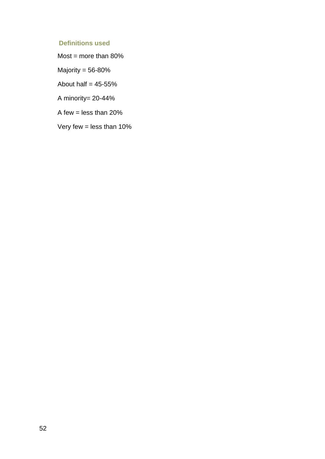### **Definitions used**

Most = more than  $80\%$ 

Majority = 56-80%

About half  $= 45-55%$ 

A minority= 20-44%

A few  $=$  less than 20%

Very few  $=$  less than 10%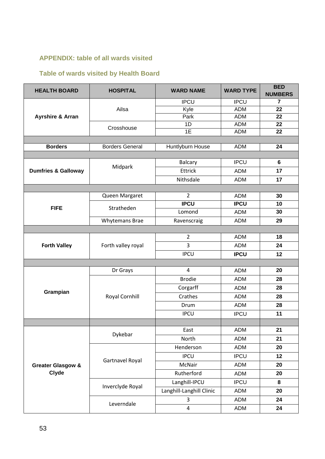### **APPENDIX: table of all wards visited**

## **Table of wards visited by Health Board**

| <b>HEALTH BOARD</b>                   | <b>HOSPITAL</b>        | <b>WARD NAME</b>         | <b>WARD TYPE</b> | <b>BED</b><br><b>NUMBERS</b> |  |  |  |
|---------------------------------------|------------------------|--------------------------|------------------|------------------------------|--|--|--|
| <b>Ayrshire &amp; Arran</b>           | Ailsa                  | <b>IPCU</b>              | <b>IPCU</b>      | $\overline{7}$               |  |  |  |
|                                       |                        | Kyle                     | <b>ADM</b>       | $\overline{22}$              |  |  |  |
|                                       |                        | Park                     | <b>ADM</b>       | 22                           |  |  |  |
|                                       | Crosshouse             | 1D                       | <b>ADM</b>       | 22                           |  |  |  |
|                                       |                        | 1E                       | <b>ADM</b>       | 22                           |  |  |  |
|                                       | <b>Borders General</b> |                          | <b>ADM</b>       | 24                           |  |  |  |
| <b>Borders</b>                        |                        | Huntlyburn House         |                  |                              |  |  |  |
| <b>Dumfries &amp; Galloway</b>        | Midpark                | <b>Balcary</b>           | <b>IPCU</b>      | $6\phantom{1}$               |  |  |  |
|                                       |                        | <b>Ettrick</b>           | <b>ADM</b>       | 17                           |  |  |  |
|                                       |                        |                          |                  |                              |  |  |  |
|                                       |                        | Nithsdale                | <b>ADM</b>       | 17                           |  |  |  |
|                                       |                        | $\overline{2}$           |                  |                              |  |  |  |
| <b>FIFE</b>                           | Queen Margaret         | <b>IPCU</b>              | <b>ADM</b>       | 30                           |  |  |  |
|                                       | Stratheden             |                          | <b>IPCU</b>      | 10                           |  |  |  |
|                                       |                        | Lomond                   | <b>ADM</b>       | 30                           |  |  |  |
|                                       | <b>Whytemans Brae</b>  | Ravenscraig              | <b>ADM</b>       | 29                           |  |  |  |
|                                       |                        |                          |                  |                              |  |  |  |
|                                       | Forth valley royal     | $\overline{2}$           | <b>ADM</b>       | 18                           |  |  |  |
| <b>Forth Valley</b>                   |                        | 3                        | <b>ADM</b>       | 24                           |  |  |  |
|                                       |                        | <b>IPCU</b>              | <b>IPCU</b>      | 12                           |  |  |  |
|                                       |                        |                          |                  |                              |  |  |  |
| Grampian                              | Dr Grays               | $\overline{4}$           | <b>ADM</b>       | 20                           |  |  |  |
|                                       | Royal Cornhill         | <b>Brodie</b>            | <b>ADM</b>       | 28                           |  |  |  |
|                                       |                        | Corgarff                 | <b>ADM</b>       | 28                           |  |  |  |
|                                       |                        | Crathes                  | <b>ADM</b>       | 28                           |  |  |  |
|                                       |                        | Drum                     | <b>ADM</b>       | 28                           |  |  |  |
|                                       |                        | <b>IPCU</b>              | <b>IPCU</b>      | 11                           |  |  |  |
|                                       |                        |                          |                  |                              |  |  |  |
| <b>Greater Glasgow &amp;</b><br>Clyde | Dykebar                | East                     | <b>ADM</b>       | 21                           |  |  |  |
|                                       |                        | North                    | <b>ADM</b>       | 21                           |  |  |  |
|                                       | Gartnavel Royal        | Henderson                | <b>ADM</b>       | 20                           |  |  |  |
|                                       |                        | <b>IPCU</b>              | <b>IPCU</b>      | 12                           |  |  |  |
|                                       |                        | McNair                   | <b>ADM</b>       | 20                           |  |  |  |
|                                       |                        | Rutherford               | <b>ADM</b>       | 20                           |  |  |  |
|                                       | Inverclyde Royal       | Langhill-IPCU            | <b>IPCU</b>      | 8                            |  |  |  |
|                                       |                        | Langhill-Langhill Clinic | <b>ADM</b>       | 20                           |  |  |  |
|                                       | Leverndale             | 3                        | <b>ADM</b>       | 24                           |  |  |  |
|                                       |                        | $\overline{\mathbf{4}}$  | ADM              | 24                           |  |  |  |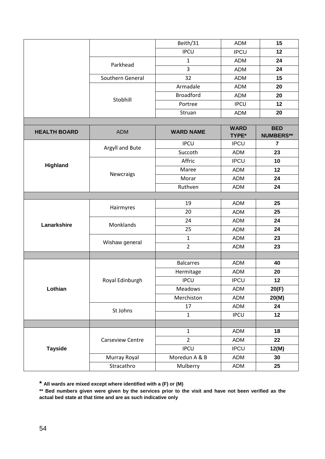|                     |                            | Beith/31         | <b>ADM</b>                  | 15                             |  |  |  |
|---------------------|----------------------------|------------------|-----------------------------|--------------------------------|--|--|--|
|                     |                            | <b>IPCU</b>      | <b>IPCU</b>                 | 12                             |  |  |  |
|                     | Parkhead                   | $\mathbf{1}$     | <b>ADM</b>                  | 24                             |  |  |  |
|                     |                            | 3                | <b>ADM</b>                  | 24                             |  |  |  |
|                     | Southern General           | 32               | <b>ADM</b>                  | 15                             |  |  |  |
|                     |                            | Armadale         | <b>ADM</b>                  | 20                             |  |  |  |
|                     | Stobhill                   | <b>Broadford</b> | <b>ADM</b>                  | 20                             |  |  |  |
|                     |                            | Portree          | <b>IPCU</b>                 | 12                             |  |  |  |
|                     |                            | Struan           | <b>ADM</b>                  | 20                             |  |  |  |
|                     |                            |                  |                             |                                |  |  |  |
| <b>HEALTH BOARD</b> | <b>ADM</b>                 | <b>WARD NAME</b> | <b>WARD</b><br><b>TYPE*</b> | <b>BED</b><br><b>NUMBERS**</b> |  |  |  |
| Highland            | Argyll and Bute            | <b>IPCU</b>      | <b>IPCU</b>                 | $\overline{7}$                 |  |  |  |
|                     |                            | Succoth          | <b>ADM</b>                  | 23                             |  |  |  |
|                     | <b>Newcraigs</b>           | Affric           | <b>IPCU</b>                 | 10                             |  |  |  |
|                     |                            | Maree            | <b>ADM</b>                  | 12                             |  |  |  |
|                     |                            | Morar            | <b>ADM</b>                  | 24                             |  |  |  |
|                     |                            | Ruthven          | <b>ADM</b>                  | 24                             |  |  |  |
|                     |                            |                  |                             |                                |  |  |  |
| Lanarkshire         | Hairmyres                  | 19               | <b>ADM</b>                  | 25                             |  |  |  |
|                     |                            | 20               | <b>ADM</b>                  | 25                             |  |  |  |
|                     | Monklands                  | 24               | <b>ADM</b>                  | 24                             |  |  |  |
|                     |                            | 25               | <b>ADM</b>                  | 24                             |  |  |  |
|                     | Wishaw general             | $\mathbf 1$      | ADM                         | 23                             |  |  |  |
|                     |                            | $\overline{2}$   | <b>ADM</b>                  | 23                             |  |  |  |
|                     |                            |                  |                             |                                |  |  |  |
| Lothian             | Royal Edinburgh            | <b>Balcarres</b> | <b>ADM</b>                  | 40                             |  |  |  |
|                     |                            | Hermitage        | <b>ADM</b>                  | 20                             |  |  |  |
|                     |                            | <b>IPCU</b>      | <b>IPCU</b>                 | 12                             |  |  |  |
|                     |                            | Meadows          | <b>ADM</b>                  | 20(F)                          |  |  |  |
|                     |                            | Merchiston       | <b>ADM</b>                  | 20(M)                          |  |  |  |
|                     | St Johns                   | 17               | ADM                         | 24                             |  |  |  |
|                     |                            | $\mathbf{1}$     | <b>IPCU</b>                 | 12                             |  |  |  |
|                     |                            | $\mathbf{1}$     |                             | 18                             |  |  |  |
| <b>Tayside</b>      | <b>Carseview Centre</b>    | $\overline{2}$   | <b>ADM</b><br><b>ADM</b>    | 22                             |  |  |  |
|                     |                            | <b>IPCU</b>      | <b>IPCU</b>                 | 12(M)                          |  |  |  |
|                     |                            | Moredun A & B    | ADM                         | 30                             |  |  |  |
|                     | Murray Royal<br>Stracathro |                  |                             |                                |  |  |  |
|                     |                            | Mulberry         | ADM                         | 25                             |  |  |  |

**\* All wards are mixed except where identified with a (F) or (M)**

**\*\* Bed numbers given were given by the services prior to the visit and have not been verified as the actual bed state at that time and are as such indicative only**